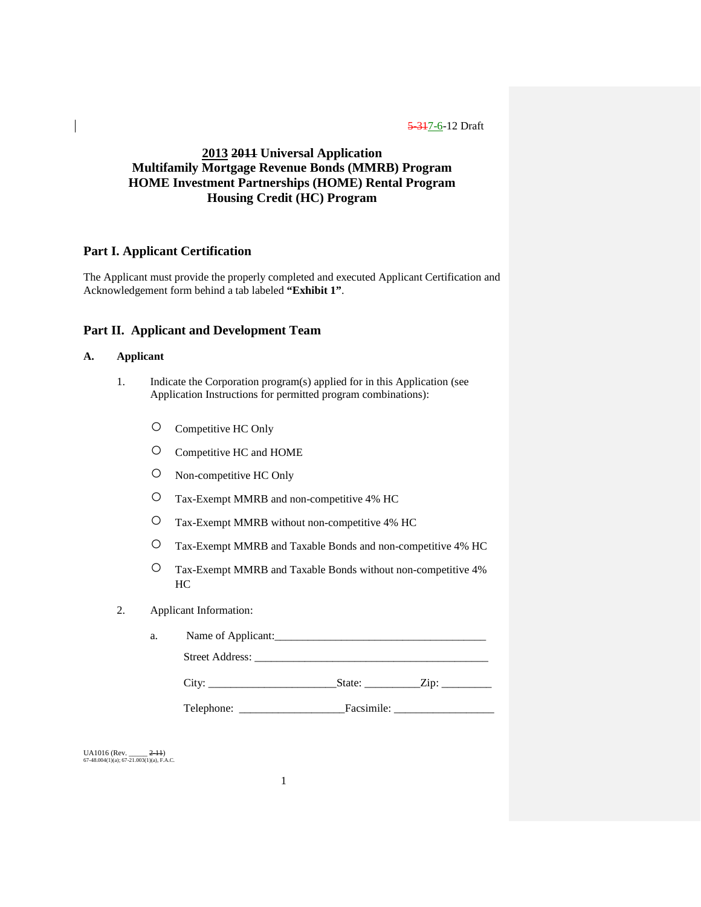# **2013 2011 Universal Application Multifamily Mortgage Revenue Bonds (MMRB) Program HOME Investment Partnerships (HOME) Rental Program Housing Credit (HC) Program**

## **Part I. Applicant Certification**

The Applicant must provide the properly completed and executed Applicant Certification and Acknowledgement form behind a tab labeled **"Exhibit 1"**.

## **Part II. Applicant and Development Team**

## **A. Applicant**

- 1. Indicate the Corporation program(s) applied for in this Application (see Application Instructions for permitted program combinations):
	- Competitive HC Only
	- Competitive HC and HOME
	- Non-competitive HC Only
	- Tax-Exempt MMRB and non-competitive 4% HC
	- Tax-Exempt MMRB without non-competitive 4% HC
	- Tax-Exempt MMRB and Taxable Bonds and non-competitive 4% HC
	- Tax-Exempt MMRB and Taxable Bonds without non-competitive 4% HC
- 2. Applicant Information:

| a. | Name of Applicant:     |
|----|------------------------|
|    | <b>Street Address:</b> |

|--|--|--|--|

Telephone: \_\_\_\_\_\_\_\_\_\_\_\_\_\_\_\_\_\_\_Facsimile: \_\_\_\_\_\_\_\_\_\_\_\_\_\_\_\_\_\_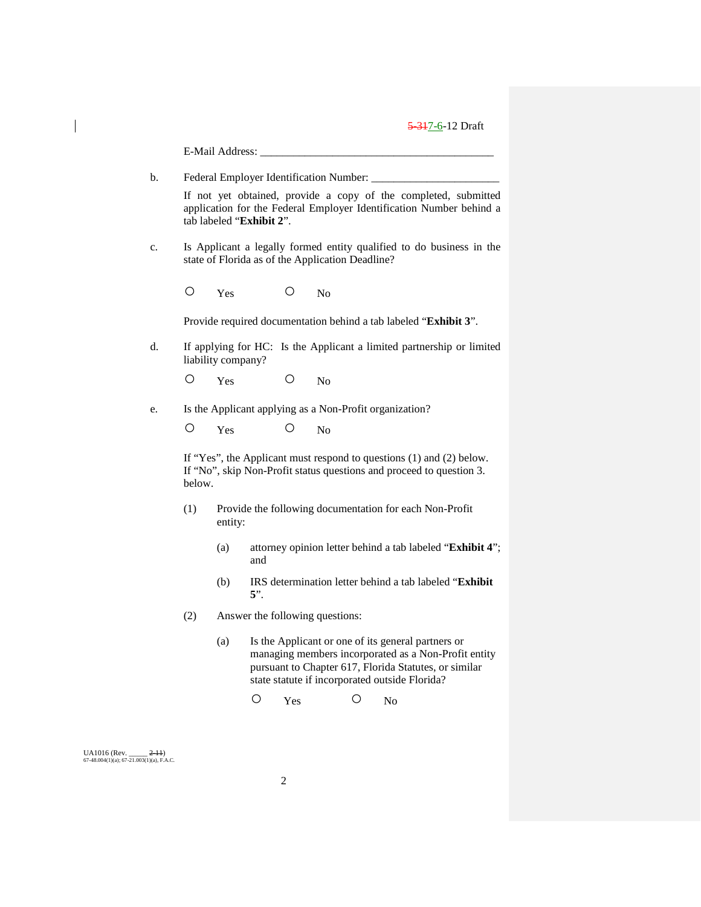|                                                                    |        | E-Mail Address:                                                                                                                                                    |            |     |                                                |   |                                                         |                                                                                                                                                                     |
|--------------------------------------------------------------------|--------|--------------------------------------------------------------------------------------------------------------------------------------------------------------------|------------|-----|------------------------------------------------|---|---------------------------------------------------------|---------------------------------------------------------------------------------------------------------------------------------------------------------------------|
| b.                                                                 |        |                                                                                                                                                                    |            |     | Federal Employer Identification Number: ______ |   |                                                         |                                                                                                                                                                     |
|                                                                    |        | If not yet obtained, provide a copy of the completed, submitted<br>application for the Federal Employer Identification Number behind a<br>tab labeled "Exhibit 2". |            |     |                                                |   |                                                         |                                                                                                                                                                     |
| c.                                                                 |        | Is Applicant a legally formed entity qualified to do business in the<br>state of Florida as of the Application Deadline?                                           |            |     |                                                |   |                                                         |                                                                                                                                                                     |
|                                                                    | О      | Yes                                                                                                                                                                |            | O   | N <sub>o</sub>                                 |   |                                                         |                                                                                                                                                                     |
|                                                                    |        |                                                                                                                                                                    |            |     |                                                |   |                                                         | Provide required documentation behind a tab labeled "Exhibit 3".                                                                                                    |
| d.                                                                 |        | liability company?                                                                                                                                                 |            |     |                                                |   |                                                         | If applying for HC: Is the Applicant a limited partnership or limited                                                                                               |
|                                                                    | Ő      | Yes                                                                                                                                                                |            | O   | N <sub>o</sub>                                 |   |                                                         |                                                                                                                                                                     |
| e.                                                                 |        |                                                                                                                                                                    |            |     |                                                |   | Is the Applicant applying as a Non-Profit organization? |                                                                                                                                                                     |
|                                                                    | Ő      | Yes                                                                                                                                                                |            | Ő   | N <sub>o</sub>                                 |   |                                                         |                                                                                                                                                                     |
|                                                                    | below. | If "Yes", the Applicant must respond to questions $(1)$ and $(2)$ below.<br>If "No", skip Non-Profit status questions and proceed to question 3.                   |            |     |                                                |   |                                                         |                                                                                                                                                                     |
|                                                                    | (1)    | entity:                                                                                                                                                            |            |     |                                                |   |                                                         | Provide the following documentation for each Non-Profit                                                                                                             |
|                                                                    |        | (a)                                                                                                                                                                | and        |     |                                                |   |                                                         | attorney opinion letter behind a tab labeled "Exhibit 4";                                                                                                           |
|                                                                    |        | (b)                                                                                                                                                                | $5$ ".     |     |                                                |   |                                                         | IRS determination letter behind a tab labeled "Exhibit                                                                                                              |
|                                                                    | (2)    | Answer the following questions:                                                                                                                                    |            |     |                                                |   |                                                         |                                                                                                                                                                     |
|                                                                    |        | (a)                                                                                                                                                                |            |     |                                                |   | state statute if incorporated outside Florida?          | Is the Applicant or one of its general partners or<br>managing members incorporated as a Non-Profit entity<br>pursuant to Chapter 617, Florida Statutes, or similar |
|                                                                    |        |                                                                                                                                                                    | $\bigcirc$ | Yes |                                                | Ω | N <sub>0</sub>                                          |                                                                                                                                                                     |
|                                                                    |        |                                                                                                                                                                    |            |     |                                                |   |                                                         |                                                                                                                                                                     |
| UA1016 (Rev.<br>$2-11$<br>67-48.004(1)(a); 67-21.003(1)(a), F.A.C. |        |                                                                                                                                                                    |            |     |                                                |   |                                                         |                                                                                                                                                                     |

 $\begin{array}{c} \hline \end{array}$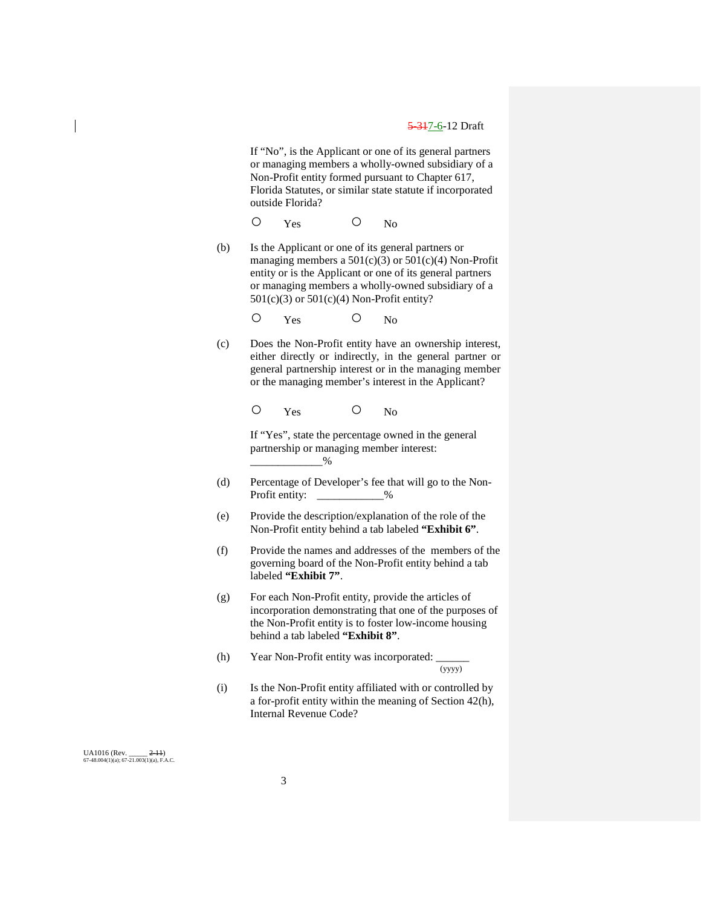If "No", is the Applicant or one of its general partners or managing members a wholly-owned subsidiary of a Non-Profit entity formed pursuant to Chapter 617, Florida Statutes, or similar state statute if incorporated outside Florida?

O Yes O No

(b) Is the Applicant or one of its general partners or managing members a  $501(c)(3)$  or  $501(c)(4)$  Non-Profit entity or is the Applicant or one of its general partners or managing members a wholly-owned subsidiary of a 501(c)(3) or 501(c)(4) Non-Profit entity?

O Yes O No

(c) Does the Non-Profit entity have an ownership interest, either directly or indirectly, in the general partner or general partnership interest or in the managing member or the managing member's interest in the Applicant?

O Yes O No

If "Yes", state the percentage owned in the general partnership or managing member interest:  $\%$ 

- (d) Percentage of Developer's fee that will go to the Non-Profit entity: \_\_\_\_\_\_\_\_\_\_\_\_\_%
- (e) Provide the description/explanation of the role of the Non-Profit entity behind a tab labeled **"Exhibit 6"**.
- (f) Provide the names and addresses of the members of the governing board of the Non-Profit entity behind a tab labeled **"Exhibit 7"**.
- (g) For each Non-Profit entity, provide the articles of incorporation demonstrating that one of the purposes of the Non-Profit entity is to foster low-income housing behind a tab labeled **"Exhibit 8"**.
- (h) Year Non-Profit entity was incorporated:  $\frac{1}{(yyyy)}$

(i) Is the Non-Profit entity affiliated with or controlled by a for-profit entity within the meaning of Section 42(h), Internal Revenue Code?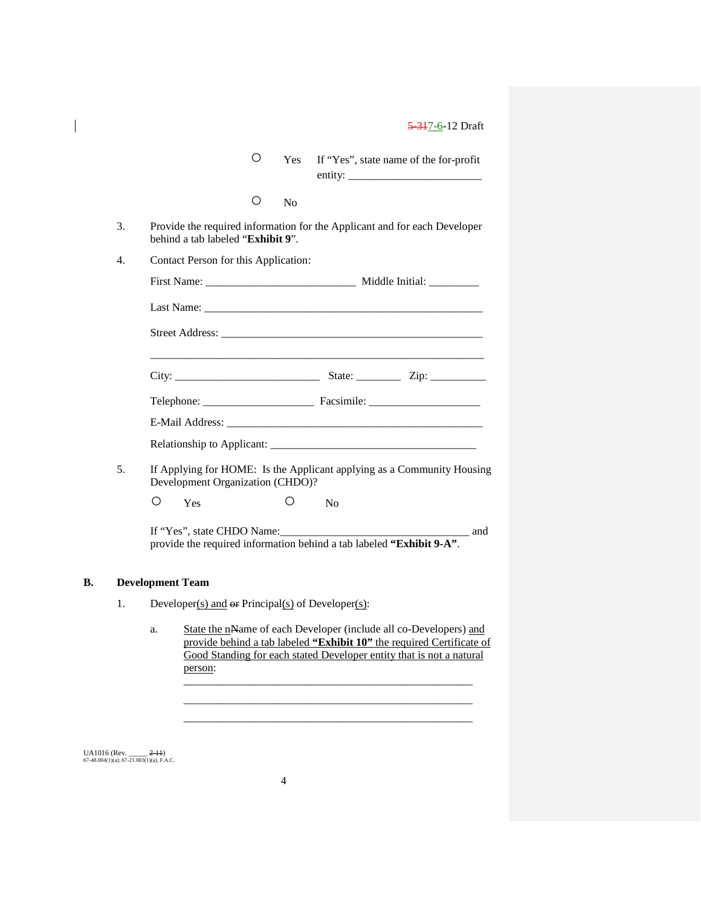| O | Yes If "Yes", state name of the for-profit |
|---|--------------------------------------------|
|   | entity:                                    |

| N۵ |
|----|
|    |

- 3. Provide the required information for the Applicant and for each Developer behind a tab labeled "**Exhibit 9**".
- 4. Contact Person for this Application:

| First Name:            | Middle Initial: |
|------------------------|-----------------|
| Last Name:             |                 |
| <b>Street Address:</b> |                 |

\_\_\_\_\_\_\_\_\_\_\_\_\_\_\_\_\_\_\_\_\_\_\_\_\_\_\_\_\_\_\_\_\_\_\_\_\_\_\_\_\_\_\_\_\_\_\_\_\_\_\_\_\_\_\_\_\_\_\_\_

| ⌒ |  |
|---|--|
|   |  |

| Telephone: | Facsimile: |
|------------|------------|
|------------|------------|

| E-Mail Address:            |  |
|----------------------------|--|
| Relationship to Applicant: |  |

5. If Applying for HOME: Is the Applicant applying as a Community Housing Development Organization (CHDO)?

O Yes O No

If "Yes", state CHDO Name:\_\_\_\_\_\_\_\_\_\_\_\_\_\_\_\_\_\_\_\_\_\_\_\_\_\_\_\_\_\_\_\_\_\_ and provide the required information behind a tab labeled **"Exhibit 9-A"**.

#### **B. Development Team**

- 1. Developer(s) and  $\Theta$  Principal(s) of Developer(s):
	- a. State the nName of each Developer (include all co-Developers) and provide behind a tab labeled **"Exhibit 10"** the required Certificate of Good Standing for each stated Developer entity that is not a natural person: \_\_\_\_\_\_\_\_\_\_\_\_\_\_\_\_\_\_\_\_\_\_\_\_\_\_\_\_\_\_\_\_\_\_\_\_\_\_\_\_\_\_\_\_\_\_\_\_\_\_\_\_

\_\_\_\_\_\_\_\_\_\_\_\_\_\_\_\_\_\_\_\_\_\_\_\_\_\_\_\_\_\_\_\_\_\_\_\_\_\_\_\_\_\_\_\_\_\_\_\_\_\_\_\_ \_\_\_\_\_\_\_\_\_\_\_\_\_\_\_\_\_\_\_\_\_\_\_\_\_\_\_\_\_\_\_\_\_\_\_\_\_\_\_\_\_\_\_\_\_\_\_\_\_\_\_\_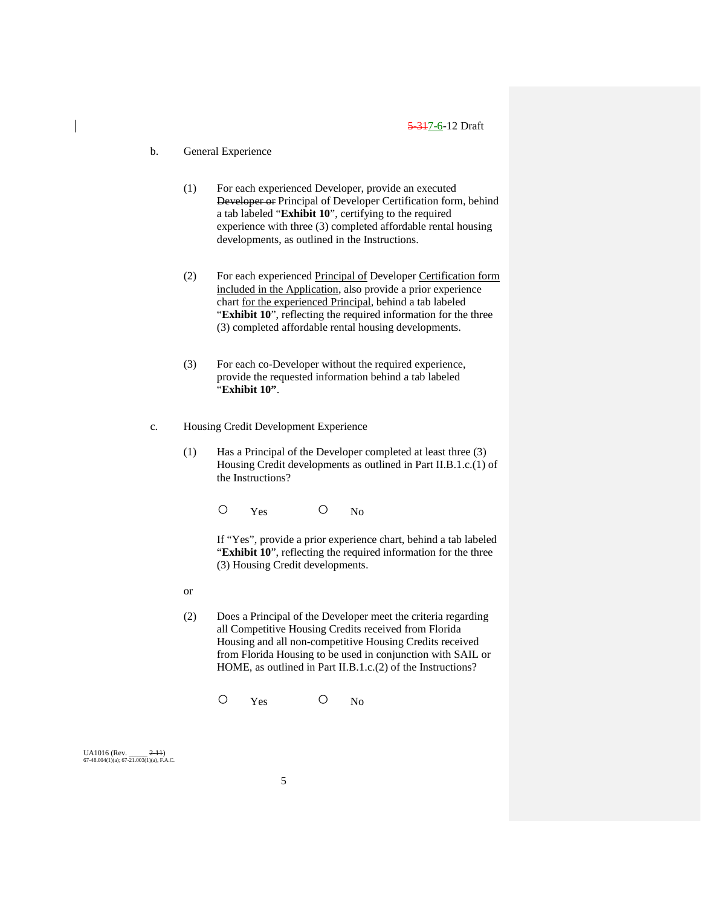### b. General Experience

- (1) For each experienced Developer, provide an executed Developer or Principal of Developer Certification form, behind a tab labeled "**Exhibit 10**", certifying to the required experience with three (3) completed affordable rental housing developments, as outlined in the Instructions.
- (2) For each experienced Principal of Developer Certification form included in the Application, also provide a prior experience chart for the experienced Principal, behind a tab labeled "**Exhibit 10**", reflecting the required information for the three (3) completed affordable rental housing developments.
- (3) For each co-Developer without the required experience, provide the requested information behind a tab labeled "**Exhibit 10"**.
- c. Housing Credit Development Experience
	- (1) Has a Principal of the Developer completed at least three (3) Housing Credit developments as outlined in Part II.B.1.c.(1) of the Instructions?

O Yes O No

If "Yes", provide a prior experience chart, behind a tab labeled "**Exhibit 10**", reflecting the required information for the three (3) Housing Credit developments.

- or
- (2) Does a Principal of the Developer meet the criteria regarding all Competitive Housing Credits received from Florida Housing and all non-competitive Housing Credits received from Florida Housing to be used in conjunction with SAIL or HOME, as outlined in Part II.B.1.c.(2) of the Instructions?

O Yes O No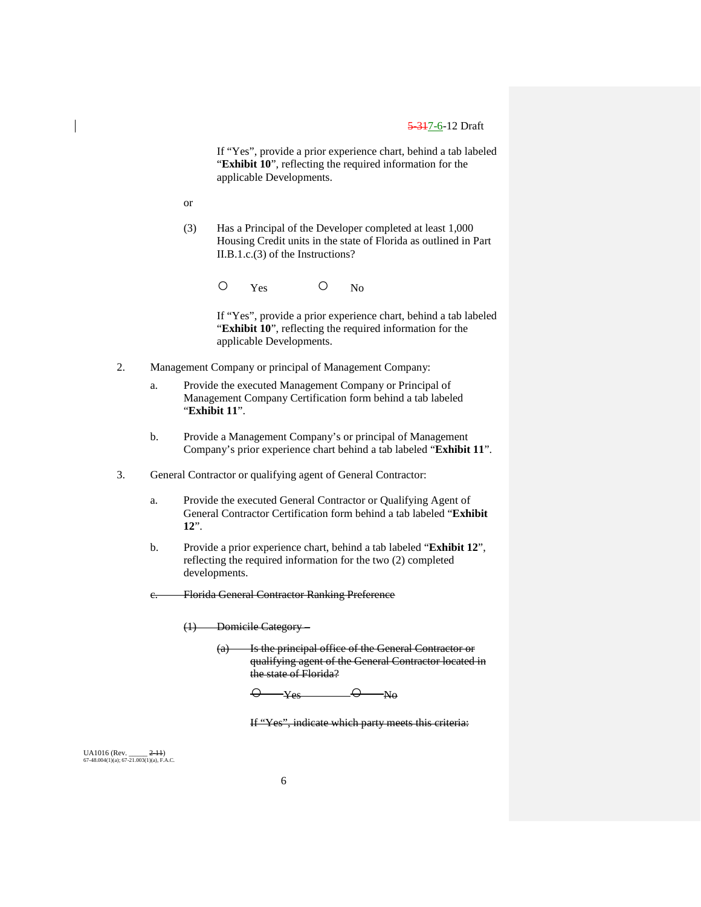If "Yes", provide a prior experience chart, behind a tab labeled "**Exhibit 10**", reflecting the required information for the applicable Developments.

or

(3) Has a Principal of the Developer completed at least 1,000 Housing Credit units in the state of Florida as outlined in Part II.B.1.c.(3) of the Instructions?

O Yes O No

If "Yes", provide a prior experience chart, behind a tab labeled "**Exhibit 10**", reflecting the required information for the applicable Developments.

- 2. Management Company or principal of Management Company:
	- a. Provide the executed Management Company or Principal of Management Company Certification form behind a tab labeled "**Exhibit 11**".
	- b. Provide a Management Company's or principal of Management Company's prior experience chart behind a tab labeled "**Exhibit 11**".
- 3. General Contractor or qualifying agent of General Contractor:
	- a. Provide the executed General Contractor or Qualifying Agent of General Contractor Certification form behind a tab labeled "**Exhibit 12**".
	- b. Provide a prior experience chart, behind a tab labeled "**Exhibit 12**", reflecting the required information for the two (2) completed developments.
	- Florida General Contractor Ranking Preference

(1) Domicile Category –

(a) Is the principal office of the General Contractor or qualifying agent of the General Contractor located in the state of Florida?

 $\overline{\mathsf{O}}$   $\mathsf{Yes}$   $\overline{\mathsf{O}}$   $\mathsf{N}\mathsf{o}$ 

If "Yes", indicate which party meets this criteria: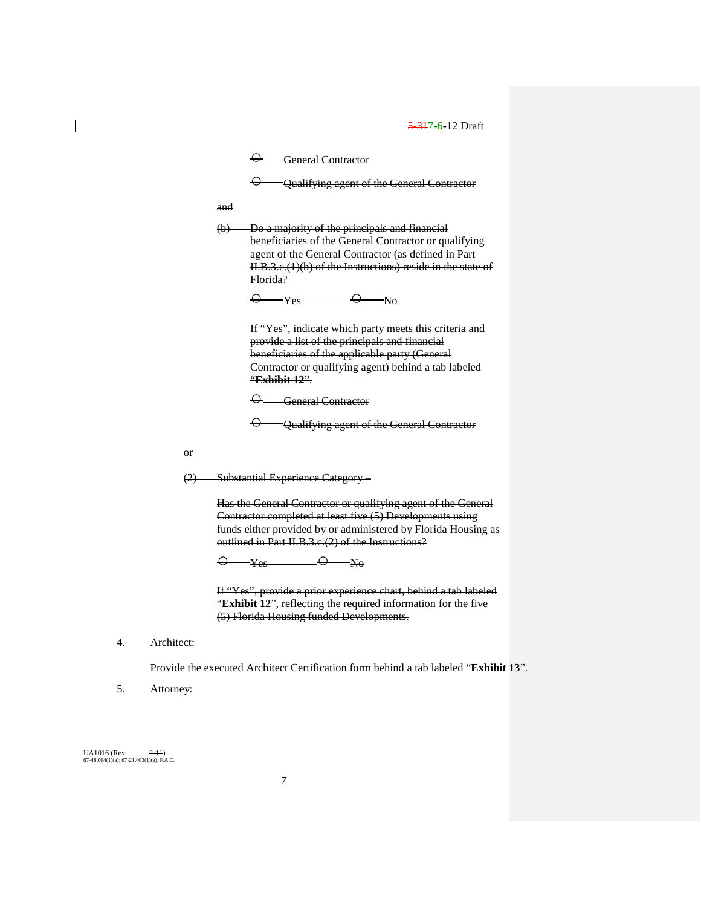|                           | $\Theta$ General Contractor                                                                                                                                                                                                                                                      |
|---------------------------|----------------------------------------------------------------------------------------------------------------------------------------------------------------------------------------------------------------------------------------------------------------------------------|
|                           | <del>Q Qualifying agent of the General Contractor</del>                                                                                                                                                                                                                          |
| and                       |                                                                                                                                                                                                                                                                                  |
| $\left(\mathbf{b}\right)$ | Do a majority of the principals and financial<br>beneficiaries of the General Contractor or qualifying<br>agent of the General Contractor (as defined in Part<br>II.B.3.e.(1)(b) of the Instructions) reside in the state of<br>Elorida?<br>$\Theta$ y <sub>es</sub> $\Theta$ No |
|                           | If "Yes", indicate which party meets this criteria and<br>provide a list of the principals and financial<br>beneficiaries of the applicable party (General<br>Contractor or qualifying agent) behind a tab labeled<br>"Exhibit 12"                                               |
|                           | $\Theta$ General Contractor                                                                                                                                                                                                                                                      |
|                           | Qualifying agent of the General Contractor                                                                                                                                                                                                                                       |
|                           |                                                                                                                                                                                                                                                                                  |

or

(2) Substantial Experience Category –

Has the General Contractor or qualifying agent of the General Contractor completed at least five (5) Developments using funds either provided by or administered by Florida Housing as outlined in Part II.B.3.c.(2) of the Instructions?

 $\overline{\Theta}$  Yes  $\overline{\Theta}$  No

If "Yes", provide a prior experience chart, behind a tab labeled "**Exhibit 12**", reflecting the required information for the five (5) Florida Housing funded Developments.

4. Architect:

Provide the executed Architect Certification form behind a tab labeled "**Exhibit 13**".

5. Attorney: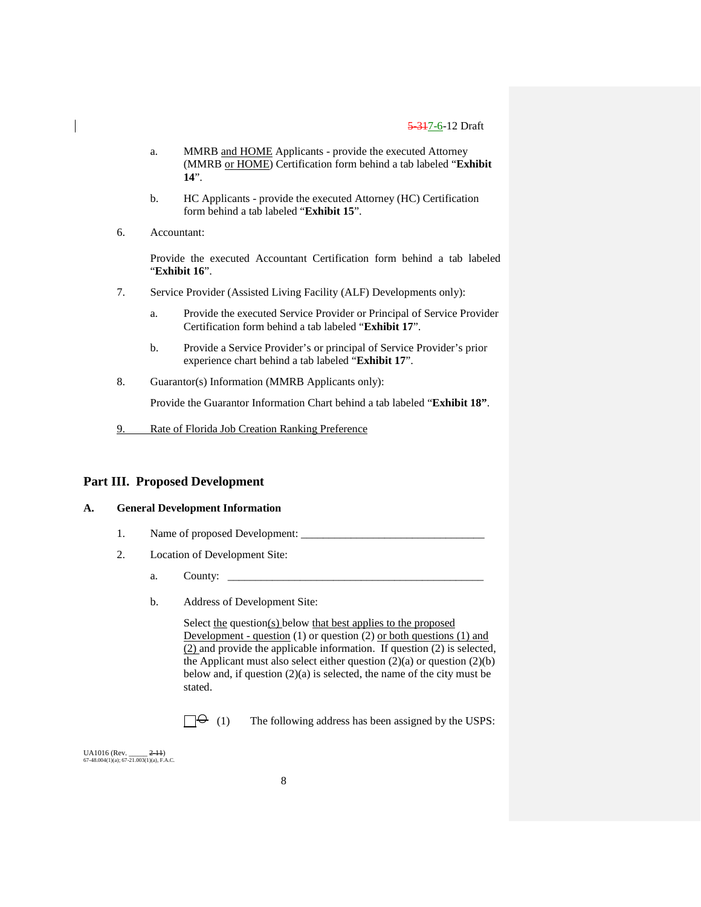- a. MMRB and HOME Applicants provide the executed Attorney (MMRB or HOME) Certification form behind a tab labeled "**Exhibit 14**".
- b. HC Applicants provide the executed Attorney (HC) Certification form behind a tab labeled "**Exhibit 15**".
- 6. Accountant:

Provide the executed Accountant Certification form behind a tab labeled "**Exhibit 16**".

- 7. Service Provider (Assisted Living Facility (ALF) Developments only):
	- a. Provide the executed Service Provider or Principal of Service Provider Certification form behind a tab labeled "**Exhibit 17**".
	- b. Provide a Service Provider's or principal of Service Provider's prior experience chart behind a tab labeled "**Exhibit 17**".
- 8. Guarantor(s) Information (MMRB Applicants only):

Provide the Guarantor Information Chart behind a tab labeled "**Exhibit 18"**.

9. Rate of Florida Job Creation Ranking Preference

#### **Part III. Proposed Development**

#### **A. General Development Information**

- 1. Name of proposed Development:
- 2. Location of Development Site:
	- a. County:
	- b. Address of Development Site:

Select the question(s) below that best applies to the proposed Development - question  $(1)$  or question  $(2)$  or both questions  $(1)$  and (2) and provide the applicable information. If question (2) is selected, the Applicant must also select either question  $(2)(a)$  or question  $(2)(b)$ below and, if question (2)(a) is selected, the name of the city must be stated.

 $\Box \Theta$  (1) The following address has been assigned by the USPS: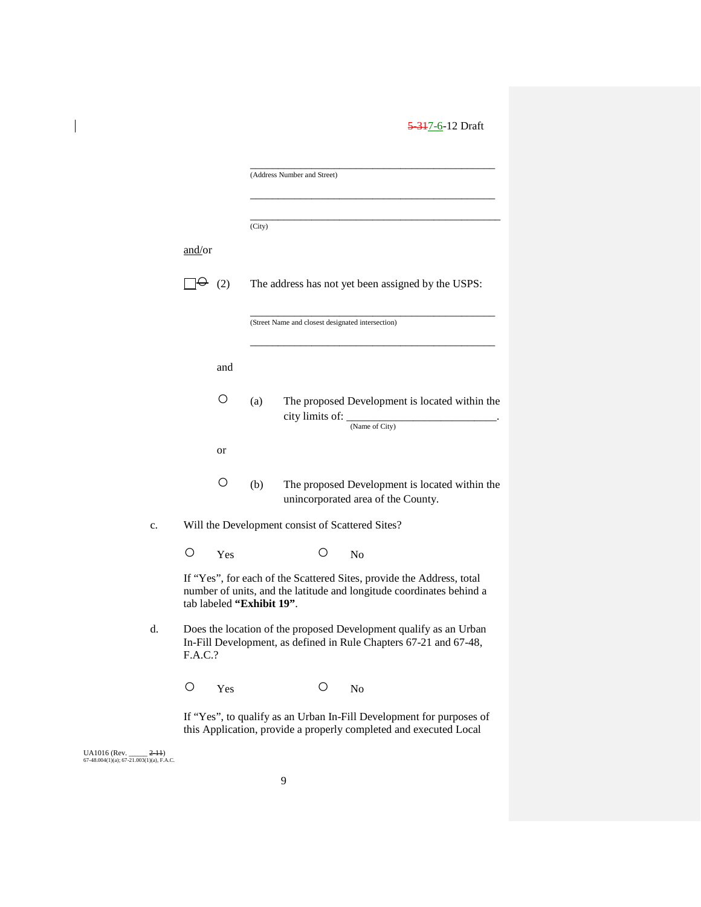|         |     |                           | (Address Number and Street) |                                                                                                                                               |
|---------|-----|---------------------------|-----------------------------|-----------------------------------------------------------------------------------------------------------------------------------------------|
|         |     |                           |                             |                                                                                                                                               |
|         |     |                           |                             |                                                                                                                                               |
|         |     | (City)                    |                             |                                                                                                                                               |
| and/or  |     |                           |                             |                                                                                                                                               |
| ⊢       | (2) |                           |                             | The address has not yet been assigned by the USPS:                                                                                            |
|         |     |                           |                             | (Street Name and closest designated intersection)                                                                                             |
|         | and |                           |                             |                                                                                                                                               |
|         | Ω   | (a)                       | city limits of: __          | The proposed Development is located within the<br>(Name of City)                                                                              |
|         | or  |                           |                             |                                                                                                                                               |
|         | О   | (b)                       |                             | The proposed Development is located within the<br>unincorporated area of the County.                                                          |
|         |     |                           |                             | Will the Development consist of Scattered Sites?                                                                                              |
| O       | Yes |                           | $\circ$                     | N <sub>0</sub>                                                                                                                                |
|         |     | tab labeled "Exhibit 19". |                             | If "Yes", for each of the Scattered Sites, provide the Address, total<br>number of units, and the latitude and longitude coordinates behind a |
| F.A.C.? |     |                           |                             | Does the location of the proposed Development qualify as an Urban<br>In-Fill Development, as defined in Rule Chapters 67-21 and 67-48,        |
| $\circ$ | Yes |                           | Ő                           | N <sub>0</sub>                                                                                                                                |
|         |     |                           |                             | If "Yes", to qualify as an Urban In-Fill Development for purposes of                                                                          |

this Application, provide a properly completed and executed Local

UA1016 (Rev. \_\_\_\_\_ <del>2-11</del>)<br>67-48.004(1)(a); 67-21.003(1)(a), F.A.C.

 $\overline{\phantom{a}}$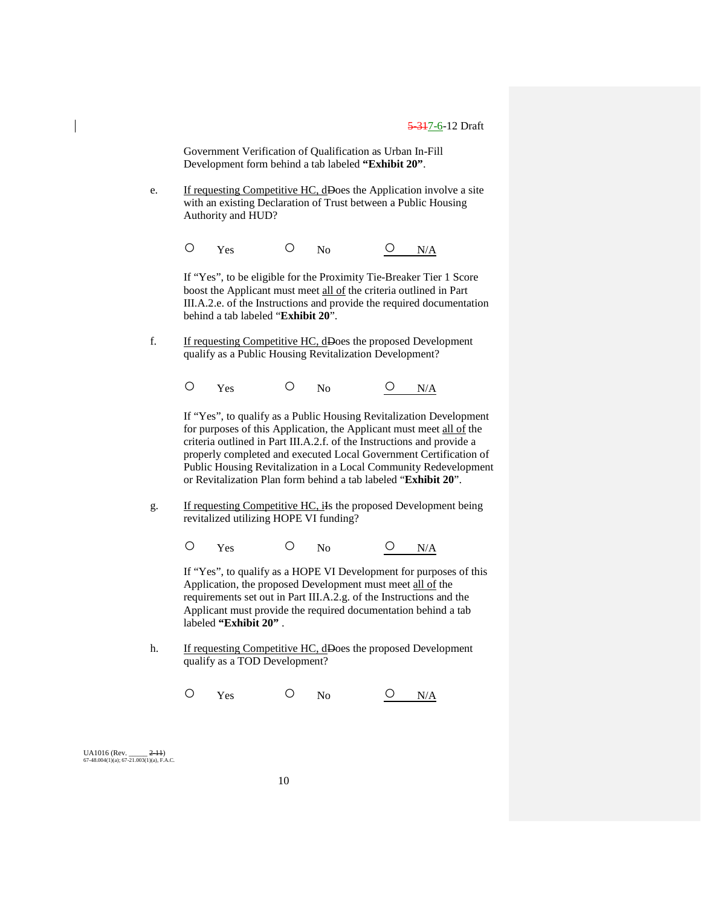Government Verification of Qualification as Urban In-Fill Development form behind a tab labeled **"Exhibit 20"**.

e. If requesting Competitive HC, dDoes the Application involve a site with an existing Declaration of Trust between a Public Housing Authority and HUD?

 $O$  Yes  $O$  No  $O$  N/A

If "Yes", to be eligible for the Proximity Tie-Breaker Tier 1 Score boost the Applicant must meet all of the criteria outlined in Part III.A.2.e. of the Instructions and provide the required documentation behind a tab labeled "**Exhibit 20**".

f. If requesting Competitive HC, dDoes the proposed Development qualify as a Public Housing Revitalization Development?

 $O$  Yes  $O$  No  $O$  N/A

If "Yes", to qualify as a Public Housing Revitalization Development for purposes of this Application, the Applicant must meet all of the criteria outlined in Part III.A.2.f. of the Instructions and provide a properly completed and executed Local Government Certification of Public Housing Revitalization in a Local Community Redevelopment or Revitalization Plan form behind a tab labeled "**Exhibit 20**".

g. If requesting Competitive HC, ils the proposed Development being revitalized utilizing HOPE VI funding?

 $O$  Yes  $O$  No  $O$  N/A

If "Yes", to qualify as a HOPE VI Development for purposes of this Application, the proposed Development must meet all of the requirements set out in Part III.A.2.g. of the Instructions and the Applicant must provide the required documentation behind a tab labeled **"Exhibit 20"** .

- h. If requesting Competitive HC, dDoes the proposed Development qualify as a TOD Development?
	- $O$  Yes  $O$  No  $O$  N/A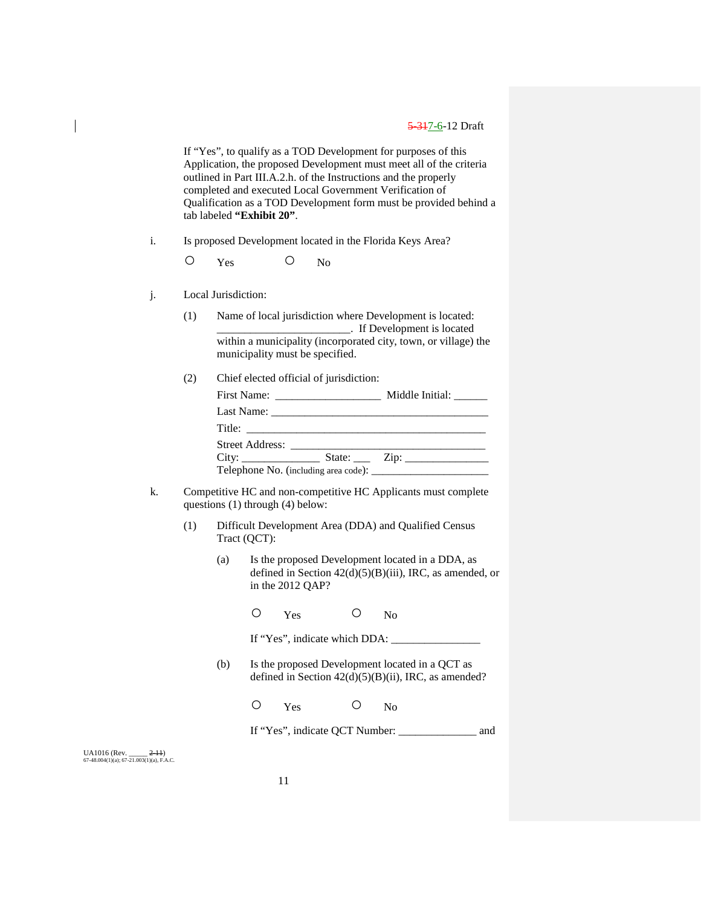If "Yes", to qualify as a TOD Development for purposes of this Application, the proposed Development must meet all of the criteria outlined in Part III.A.2.h. of the Instructions and the properly completed and executed Local Government Verification of Qualification as a TOD Development form must be provided behind a tab labeled **"Exhibit 20"**.

- i. Is proposed Development located in the Florida Keys Area?
	- O Yes O No
- j. Local Jurisdiction:
	- (1) Name of local jurisdiction where Development is located: \_\_\_\_\_\_\_\_\_\_\_\_\_\_\_\_\_\_\_\_\_\_\_\_. If Development is located within a municipality (incorporated city, town, or village) the municipality must be specified.
	- (2) Chief elected official of jurisdiction:

|  | Middle Initial: ______                           |
|--|--------------------------------------------------|
|  |                                                  |
|  |                                                  |
|  |                                                  |
|  | State: $\qquad \qquad \text{Zip:} \qquad \qquad$ |
|  |                                                  |

- k. Competitive HC and non-competitive HC Applicants must complete questions (1) through (4) below:
	- (1) Difficult Development Area (DDA) and Qualified Census Tract (QCT):
		- (a) Is the proposed Development located in a DDA, as defined in Section 42(d)(5)(B)(iii), IRC, as amended, or in the 2012 QAP?
			- O Yes O No

If "Yes", indicate which DDA: \_\_\_\_\_\_\_\_\_\_\_\_\_\_\_\_

- (b) Is the proposed Development located in a QCT as defined in Section  $42(d)(5)(B)(ii)$ , IRC, as amended?
	- O Yes O No

If "Yes", indicate QCT Number: \_\_\_\_\_\_\_\_\_\_\_\_\_\_ and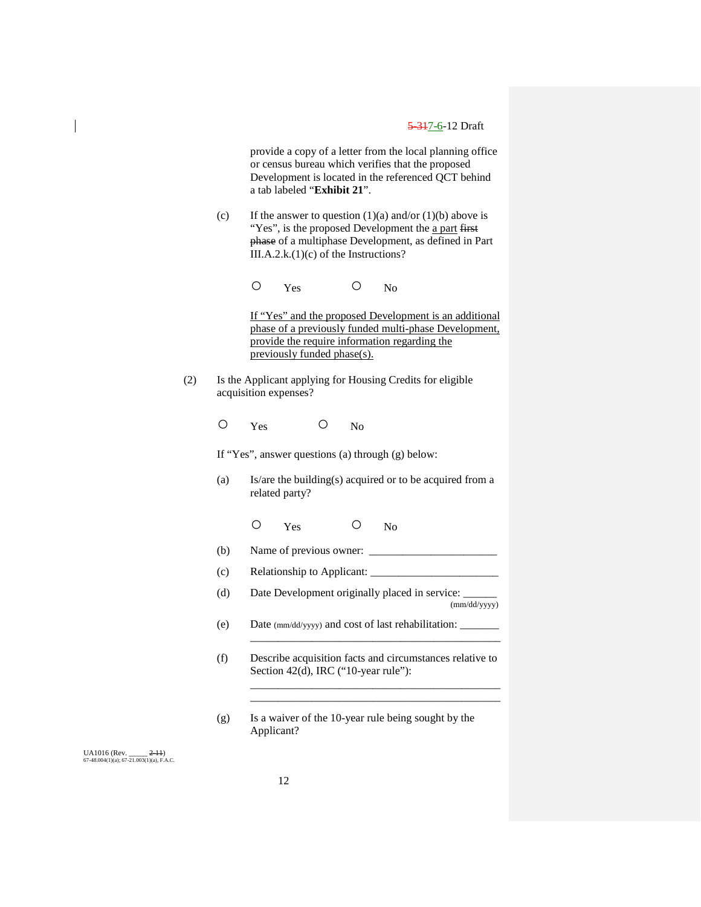provide a copy of a letter from the local planning office or census bureau which verifies that the proposed Development is located in the referenced QCT behind a tab labeled "**Exhibit 21**".

(c) If the answer to question  $(1)(a)$  and/or  $(1)(b)$  above is "Yes", is the proposed Development the a part first phase of a multiphase Development, as defined in Part III.A.2.k.(1)(c) of the Instructions?

O Yes O No

If "Yes" and the proposed Development is an additional phase of a previously funded multi-phase Development, provide the require information regarding the previously funded phase(s).

(2) Is the Applicant applying for Housing Credits for eligible acquisition expenses?

O Yes O No

If "Yes", answer questions (a) through (g) below:

- (a) Is/are the building(s) acquired or to be acquired from a related party?
	- O Yes O No
- $(b)$  Name of previous owner:
- (c) Relationship to Applicant: \_\_\_\_\_\_\_\_\_\_\_\_\_\_\_\_\_\_\_\_\_\_\_
- (d) Date Development originally placed in service: (mm/dd/yyyy)
- (e) Date (mm/dd/yyyy) and cost of last rehabilitation: \_\_\_\_\_\_\_
- (f) Describe acquisition facts and circumstances relative to Section 42(d), IRC ("10-year rule"):

\_\_\_\_\_\_\_\_\_\_\_\_\_\_\_\_\_\_\_\_\_\_\_\_\_\_\_\_\_\_\_\_\_\_\_\_\_\_\_\_\_\_\_\_\_

\_\_\_\_\_\_\_\_\_\_\_\_\_\_\_\_\_\_\_\_\_\_\_\_\_\_\_\_\_\_\_\_\_\_\_\_\_\_\_\_\_\_\_\_\_ \_\_\_\_\_\_\_\_\_\_\_\_\_\_\_\_\_\_\_\_\_\_\_\_\_\_\_\_\_\_\_\_\_\_\_\_\_\_\_\_\_\_\_\_\_

(g) Is a waiver of the 10-year rule being sought by the Applicant?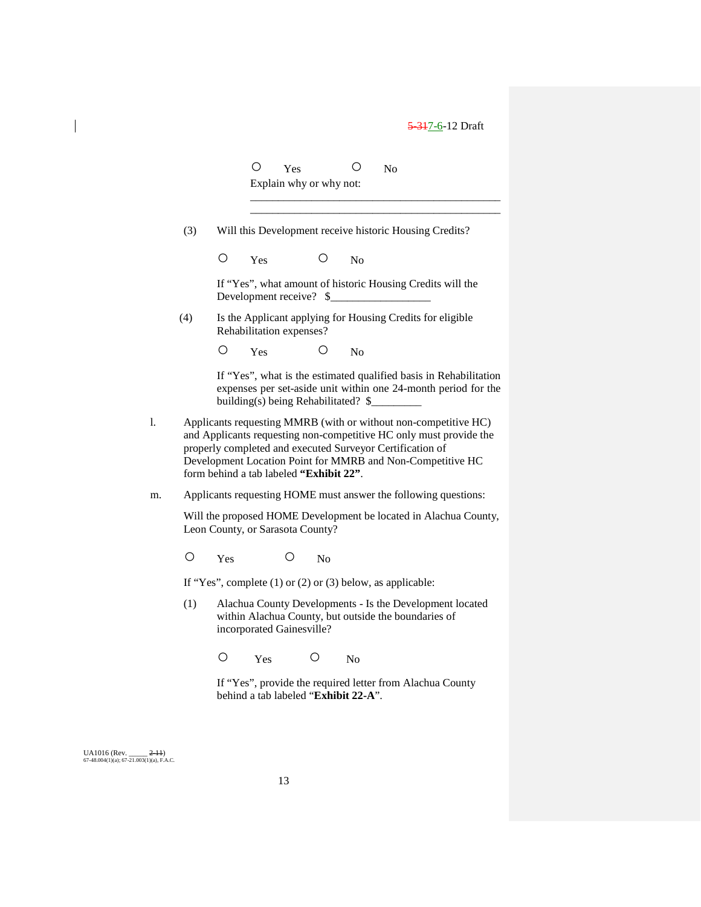O Yes O No Explain why or why not:

(3) Will this Development receive historic Housing Credits?

O Yes O No

If "Yes", what amount of historic Housing Credits will the Development receive?  $\$ 

\_\_\_\_\_\_\_\_\_\_\_\_\_\_\_\_\_\_\_\_\_\_\_\_\_\_\_\_\_\_\_\_\_\_\_\_\_\_\_\_\_\_\_\_\_ \_\_\_\_\_\_\_\_\_\_\_\_\_\_\_\_\_\_\_\_\_\_\_\_\_\_\_\_\_\_\_\_\_\_\_\_\_\_\_\_\_\_\_\_\_

(4) Is the Applicant applying for Housing Credits for eligible Rehabilitation expenses?

O Yes O No

If "Yes", what is the estimated qualified basis in Rehabilitation expenses per set-aside unit within one 24-month period for the building(s) being Rehabilitated? \$

- l. Applicants requesting MMRB (with or without non-competitive HC) and Applicants requesting non-competitive HC only must provide the properly completed and executed Surveyor Certification of Development Location Point for MMRB and Non-Competitive HC form behind a tab labeled **"Exhibit 22"**.
- m. Applicants requesting HOME must answer the following questions:

Will the proposed HOME Development be located in Alachua County, Leon County, or Sarasota County?

O Yes O No

If "Yes", complete (1) or (2) or (3) below, as applicable:

(1) Alachua County Developments - Is the Development located within Alachua County, but outside the boundaries of incorporated Gainesville?

O Yes O No

If "Yes", provide the required letter from Alachua County behind a tab labeled "**Exhibit 22-A**".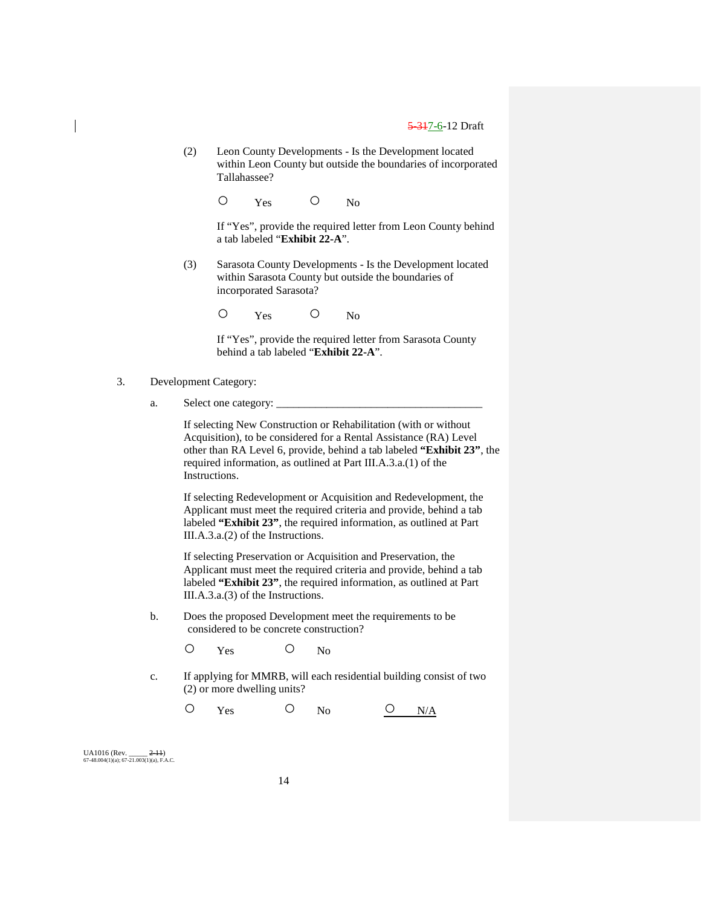(2) Leon County Developments - Is the Development located within Leon County but outside the boundaries of incorporated Tallahassee?

O Yes O No

If "Yes", provide the required letter from Leon County behind a tab labeled "**Exhibit 22-A**".

(3) Sarasota County Developments - Is the Development located within Sarasota County but outside the boundaries of incorporated Sarasota?

O Yes O No

If "Yes", provide the required letter from Sarasota County behind a tab labeled "**Exhibit 22-A**".

- 3. Development Category:
	- a. Select one category:

If selecting New Construction or Rehabilitation (with or without Acquisition), to be considered for a Rental Assistance (RA) Level other than RA Level 6, provide, behind a tab labeled **"Exhibit 23"**, the required information, as outlined at Part III.A.3.a.(1) of the Instructions.

If selecting Redevelopment or Acquisition and Redevelopment, the Applicant must meet the required criteria and provide, behind a tab labeled **"Exhibit 23"**, the required information, as outlined at Part III.A.3.a.(2) of the Instructions.

If selecting Preservation or Acquisition and Preservation, the Applicant must meet the required criteria and provide, behind a tab labeled **"Exhibit 23"**, the required information, as outlined at Part III.A.3.a.(3) of the Instructions.

- b. Does the proposed Development meet the requirements to be considered to be concrete construction?
	- O Yes O No
- c. If applying for MMRB, will each residential building consist of two (2) or more dwelling units?
	- $O$  Yes  $O$  No  $O$  N/A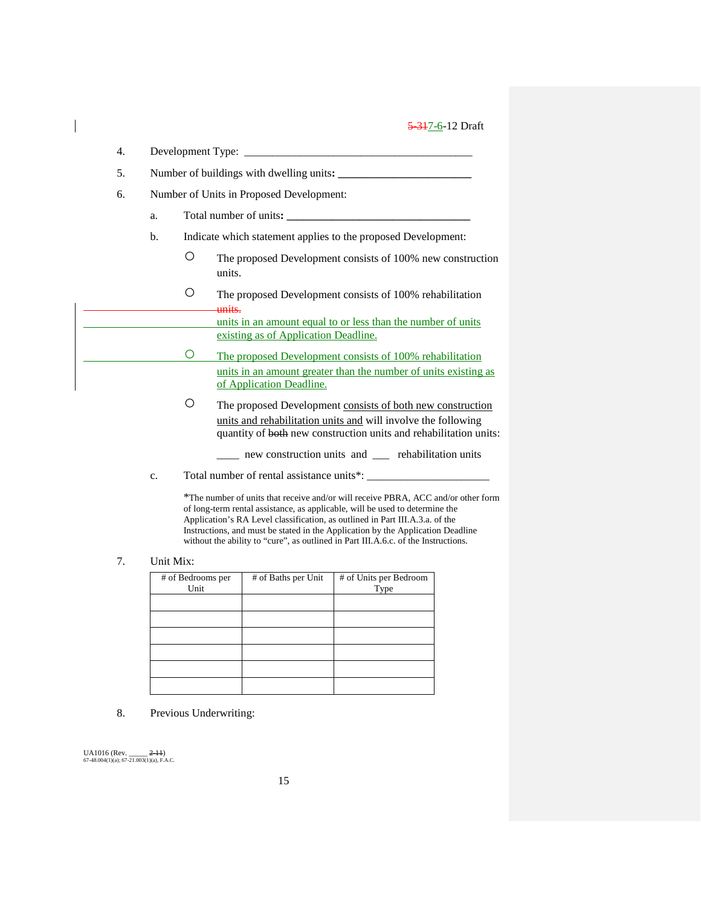| 4. |                                          |                  |                                                                                                                                                                                                  |  |  |
|----|------------------------------------------|------------------|--------------------------------------------------------------------------------------------------------------------------------------------------------------------------------------------------|--|--|
| 5. |                                          |                  |                                                                                                                                                                                                  |  |  |
| 6. | Number of Units in Proposed Development: |                  |                                                                                                                                                                                                  |  |  |
|    | a.                                       |                  |                                                                                                                                                                                                  |  |  |
|    | b.                                       |                  | Indicate which statement applies to the proposed Development:                                                                                                                                    |  |  |
|    |                                          | О                | The proposed Development consists of 100% new construction<br>units.                                                                                                                             |  |  |
|    |                                          | О                | The proposed Development consists of 100% rehabilitation<br><del>units.</del>                                                                                                                    |  |  |
|    |                                          |                  | units in an amount equal to or less than the number of units<br>existing as of Application Deadline.                                                                                             |  |  |
|    |                                          | $\left( \right)$ | The proposed Development consists of 100% rehabilitation                                                                                                                                         |  |  |
|    |                                          |                  | units in an amount greater than the number of units existing as<br>of Application Deadline.                                                                                                      |  |  |
|    |                                          | Ο                | The proposed Development consists of both new construction<br>units and rehabilitation units and will involve the following<br>quantity of both new construction units and rehabilitation units: |  |  |
|    |                                          |                  | __ new construction units and __ rehabilitation units                                                                                                                                            |  |  |
|    | c.                                       |                  | Total number of rental assistance units*:                                                                                                                                                        |  |  |

\*The number of units that receive and/or will receive PBRA, ACC and/or other form of long-term rental assistance, as applicable, will be used to determine the Application's RA Level classification, as outlined in Part III.A.3.a. of the Instructions, and must be stated in the Application by the Application Deadline without the ability to "cure", as outlined in Part III.A.6.c. of the Instructions.

## 7. Unit Mix:

 $\overline{\phantom{a}}$ 

| # of Bedrooms per<br>Unit | # of Baths per Unit | # of Units per Bedroom<br>Type |
|---------------------------|---------------------|--------------------------------|
|                           |                     |                                |
|                           |                     |                                |
|                           |                     |                                |
|                           |                     |                                |
|                           |                     |                                |
|                           |                     |                                |

8. Previous Underwriting: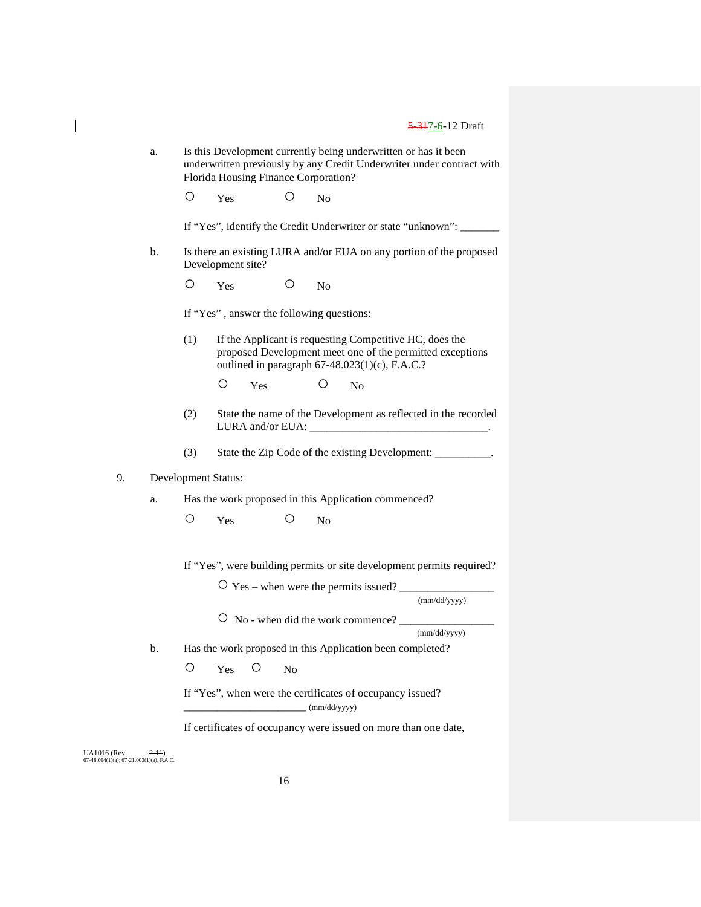|    | a.                         | Is this Development currently being underwritten or has it been<br>underwritten previously by any Credit Underwriter under contract with<br>Florida Housing Finance Corporation? |                                                                      |                |              |                                                                                                           |                                                                |  |  |
|----|----------------------------|----------------------------------------------------------------------------------------------------------------------------------------------------------------------------------|----------------------------------------------------------------------|----------------|--------------|-----------------------------------------------------------------------------------------------------------|----------------------------------------------------------------|--|--|
|    |                            | Ο                                                                                                                                                                                | Yes                                                                  | O              | No           |                                                                                                           |                                                                |  |  |
|    |                            |                                                                                                                                                                                  | If "Yes", identify the Credit Underwriter or state "unknown": ______ |                |              |                                                                                                           |                                                                |  |  |
|    | b.                         | Is there an existing LURA and/or EUA on any portion of the proposed<br>Development site?                                                                                         |                                                                      |                |              |                                                                                                           |                                                                |  |  |
|    |                            | O                                                                                                                                                                                | Yes                                                                  | O              | No           |                                                                                                           |                                                                |  |  |
|    |                            |                                                                                                                                                                                  | If "Yes", answer the following questions:                            |                |              |                                                                                                           |                                                                |  |  |
|    |                            | (1)                                                                                                                                                                              |                                                                      |                |              | If the Applicant is requesting Competitive HC, does the<br>outlined in paragraph 67-48.023(1)(c), F.A.C.? | proposed Development meet one of the permitted exceptions      |  |  |
|    |                            |                                                                                                                                                                                  | О<br>Yes                                                             |                | Ő            | No                                                                                                        |                                                                |  |  |
|    |                            | (2)                                                                                                                                                                              |                                                                      |                |              |                                                                                                           | State the name of the Development as reflected in the recorded |  |  |
|    |                            | (3)                                                                                                                                                                              |                                                                      |                |              |                                                                                                           | State the Zip Code of the existing Development: __________.    |  |  |
| 9. | <b>Development Status:</b> |                                                                                                                                                                                  |                                                                      |                |              |                                                                                                           |                                                                |  |  |
|    | a.                         | Has the work proposed in this Application commenced?                                                                                                                             |                                                                      |                |              |                                                                                                           |                                                                |  |  |
|    |                            | Ο                                                                                                                                                                                | Yes                                                                  | Ο              | No           |                                                                                                           |                                                                |  |  |
|    |                            | If "Yes", were building permits or site development permits required?                                                                                                            |                                                                      |                |              |                                                                                                           |                                                                |  |  |
|    |                            |                                                                                                                                                                                  |                                                                      |                |              | $\overline{O}$ Yes – when were the permits issued?                                                        | (mm/dd/yyyy)                                                   |  |  |
|    |                            |                                                                                                                                                                                  |                                                                      |                |              |                                                                                                           |                                                                |  |  |
|    |                            | O No - when did the work commence?<br>(mm/dd/yyyy)                                                                                                                               |                                                                      |                |              |                                                                                                           |                                                                |  |  |
|    | b.                         | Has the work proposed in this Application been completed?                                                                                                                        |                                                                      |                |              |                                                                                                           |                                                                |  |  |
|    |                            | O                                                                                                                                                                                | $\circ$<br>Yes                                                       | N <sub>0</sub> |              |                                                                                                           |                                                                |  |  |
|    |                            |                                                                                                                                                                                  |                                                                      |                | (mm/dd/yyyy) | If "Yes", when were the certificates of occupancy issued?                                                 |                                                                |  |  |

If certificates of occupancy were issued on more than one date,

UA1016 (Rev. \_\_\_\_\_ <del>2-11</del>)<br>67-48.004(1)(a); 67-21.003(1)(a), F.A.C.

 $\overline{\phantom{a}}$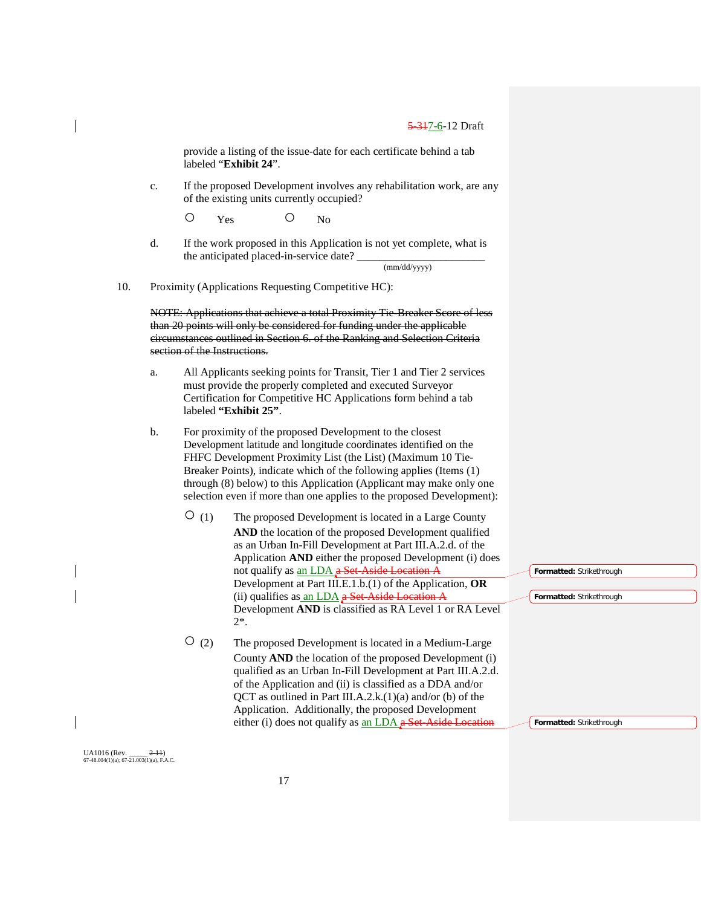provide a listing of the issue-date for each certificate behind a tab labeled "**Exhibit 24**".

c. If the proposed Development involves any rehabilitation work, are any of the existing units currently occupied?

O Yes O No

d. If the work proposed in this Application is not yet complete, what is the anticipated placed-in-service date?

(mm/dd/yyyy)

10. Proximity (Applications Requesting Competitive HC):

NOTE: Applications that achieve a total Proximity Tie-Breaker Score of less than 20 points will only be considered for funding under the applicable circumstances outlined in Section 6. of the Ranking and Selection Criteria section of the Instructions.

- a. All Applicants seeking points for Transit, Tier 1 and Tier 2 services must provide the properly completed and executed Surveyor Certification for Competitive HC Applications form behind a tab labeled **"Exhibit 25"**.
- b. For proximity of the proposed Development to the closest Development latitude and longitude coordinates identified on the FHFC Development Proximity List (the List) (Maximum 10 Tie-Breaker Points), indicate which of the following applies (Items (1) through (8) below) to this Application (Applicant may make only one selection even if more than one applies to the proposed Development):
	- (1) The proposed Development is located in a Large County **AND** the location of the proposed Development qualified as an Urban In-Fill Development at Part III.A.2.d. of the Application **AND** either the proposed Development (i) does not qualify as an LDA a Set-Aside Location A Development at Part III.E.1.b.(1) of the Application, **OR** (ii) qualifies as  $\underline{\text{an LDA}}$  a Set-Aside Location A Development **AND** is classified as RA Level 1 or RA Level 2\*.
	- (2) The proposed Development is located in a Medium-Large County **AND** the location of the proposed Development (i) qualified as an Urban In-Fill Development at Part III.A.2.d. of the Application and (ii) is classified as a DDA and/or QCT as outlined in Part III.A.2.k. $(1)(a)$  and/or  $(b)$  of the Application. Additionally, the proposed Development either (i) does not qualify as  $an LDA$  a Set-Aside Location

**Formatted:** Strikethrough

**Formatted:** Strikethrough

**Formatted:** Strikethrough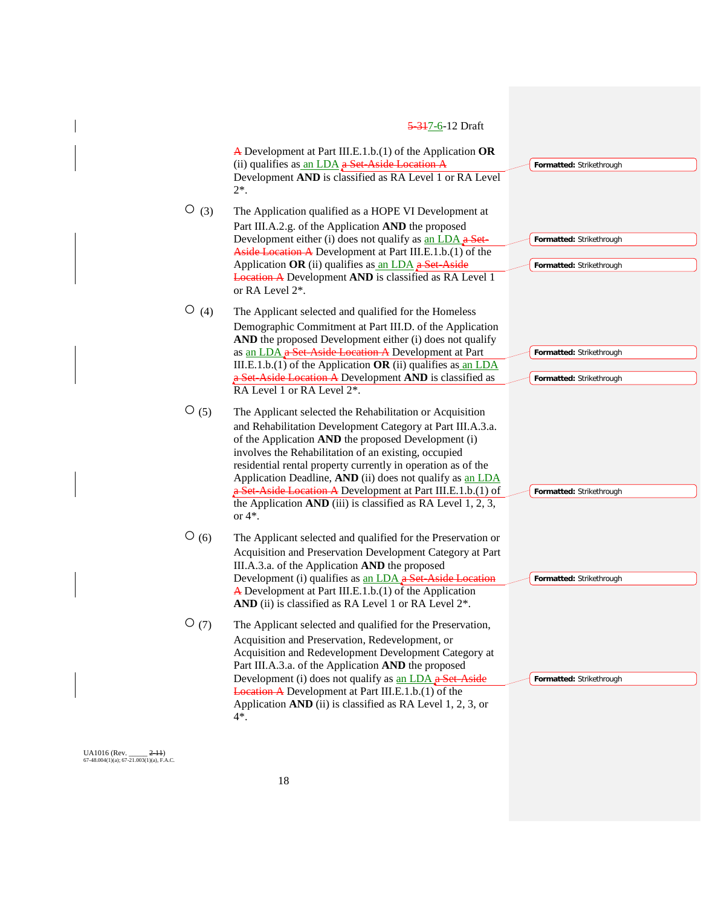#### 5-317-6-12 Draft A Development at Part III.E.1.b.(1) of the Application **OR** (ii) qualifies as  $an LDA$  a Set-Aside Location Development **AND** is classified as RA Level 1 or RA Level 2\*.  $\overline{O}$  (3) The Application qualified as a HOPE VI Development at Part III.A.2.g. of the Application **AND** the proposed Development either (i) does not qualify as an LDA a Set-Aside Location A Development at Part III.E.1.b.(1) of the Application **OR** (ii) qualifies as an LDA a Set-Aside Location A Development **AND** is classified as RA Level 1 or RA Level 2\*. ○ (4) The Applicant selected and qualified for the Homeless Demographic Commitment at Part III.D. of the Application **AND** the proposed Development either (i) does not qualify as an LDA a Set-Aside Location A Development at Part III.E.1.b.(1) of the Application **OR** (ii) qualifies as an LDA Set-Aside Location A Development AND is classified as RA Level 1 or RA Level  $2^*$ .  $\overline{O}(5)$  The Applicant selected the Rehabilitation or Acquisition and Rehabilitation Development Category at Part III.A.3.a. of the Application **AND** the proposed Development (i) involves the Rehabilitation of an existing, occupied residential rental property currently in operation as of the Application Deadline, AND (ii) does not qualify as an LDA a Set-Aside Location A Development at Part III.E.1.b.(1) of the Application **AND** (iii) is classified as RA Level 1, 2, 3, or 4\*.  $\overline{O}(6)$  The Applicant selected and qualified for the Preservation or Acquisition and Preservation Development Category at Part III.A.3.a. of the Application **AND** the proposed Development (i) qualifies as an LDA a Set-Aside A Development at Part III.E.1.b.(1) of the Application AND (ii) is classified as RA Level 1 or RA Level  $2^*$ . ○(7) The Applicant selected and qualified for the Preservation, Acquisition and Preservation, Redevelopment, or Acquisition and Redevelopment Development Category at Part III.A.3.a. of the Application **AND** the proposed Development (i) does not qualify as an LDA a Set-Aside Location A Development at Part III.E.1.b.(1) of the Application **AND** (ii) is classified as RA Level 1, 2, 3, or 4\*. **Formatted:** Strikethrough **Formatted:** Strikethrough **Formatted:** Strikethrough **Formatted:** Strikethrough **Formatted:** Strikethrough **Formatted:** Strikethrough **Formatted:** Strikethrough **Formatted:** Strikethrough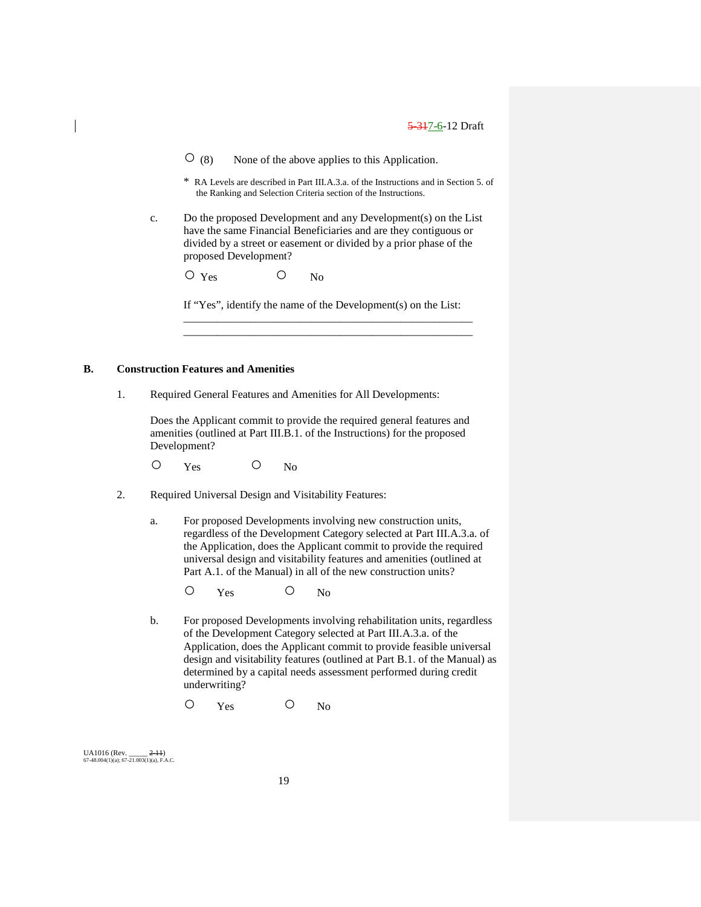$\overline{O}$  (8) None of the above applies to this Application.

- \* RA Levels are described in Part III.A.3.a. of the Instructions and in Section 5. of the Ranking and Selection Criteria section of the Instructions.
- c. Do the proposed Development and any Development(s) on the List have the same Financial Beneficiaries and are they contiguous or divided by a street or easement or divided by a prior phase of the proposed Development?

O Yes O No

If "Yes", identify the name of the Development(s) on the List: \_\_\_\_\_\_\_\_\_\_\_\_\_\_\_\_\_\_\_\_\_\_\_\_\_\_\_\_\_\_\_\_\_\_\_\_\_\_\_\_\_\_\_\_\_\_\_\_\_\_\_\_

\_\_\_\_\_\_\_\_\_\_\_\_\_\_\_\_\_\_\_\_\_\_\_\_\_\_\_\_\_\_\_\_\_\_\_\_\_\_\_\_\_\_\_\_\_\_\_\_\_\_\_\_

#### **B. Construction Features and Amenities**

1. Required General Features and Amenities for All Developments:

Does the Applicant commit to provide the required general features and amenities (outlined at Part III.B.1. of the Instructions) for the proposed Development?

- O Yes O No
- 2. Required Universal Design and Visitability Features:
	- a. For proposed Developments involving new construction units, regardless of the Development Category selected at Part III.A.3.a. of the Application, does the Applicant commit to provide the required universal design and visitability features and amenities (outlined at Part A.1. of the Manual) in all of the new construction units?
		- O Yes O No
	- b. For proposed Developments involving rehabilitation units, regardless of the Development Category selected at Part III.A.3.a. of the Application, does the Applicant commit to provide feasible universal design and visitability features (outlined at Part B.1. of the Manual) as determined by a capital needs assessment performed during credit underwriting?
		- O Yes O No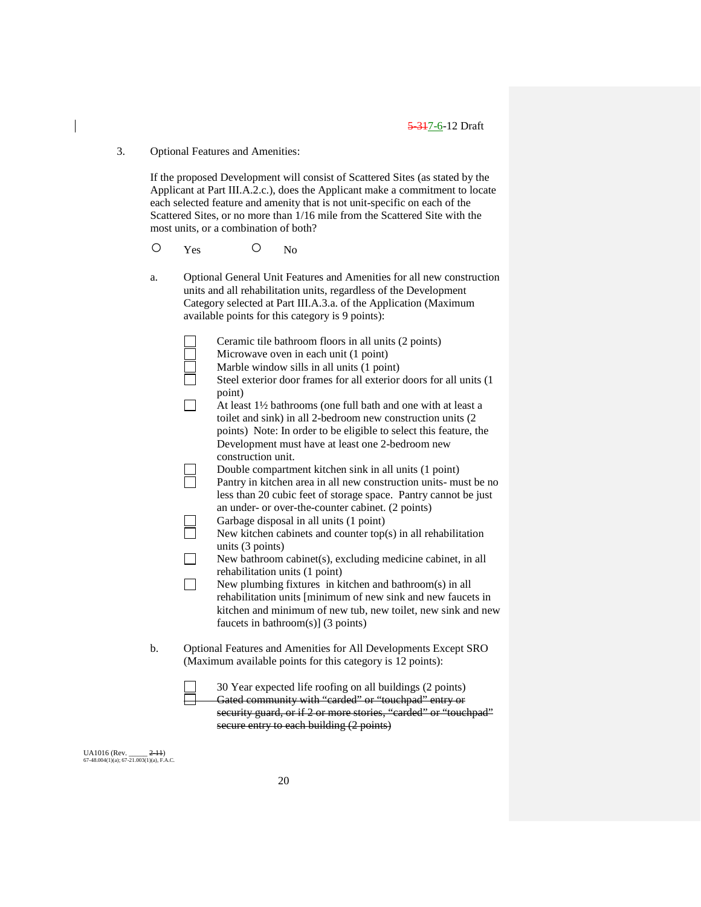3. Optional Features and Amenities:

If the proposed Development will consist of Scattered Sites (as stated by the Applicant at Part III.A.2.c.), does the Applicant make a commitment to locate each selected feature and amenity that is not unit-specific on each of the Scattered Sites, or no more than 1/16 mile from the Scattered Site with the most units, or a combination of both?

- O Yes O No
- a. Optional General Unit Features and Amenities for all new construction units and all rehabilitation units, regardless of the Development Category selected at Part III.A.3.a. of the Application (Maximum available points for this category is 9 points):

| available points for this category is 9 points):                                                                                                                                                                                                                   |
|--------------------------------------------------------------------------------------------------------------------------------------------------------------------------------------------------------------------------------------------------------------------|
| Ceramic tile bathroom floors in all units (2 points)<br>Microwave oven in each unit (1 point)<br>Marble window sills in all units (1 point)                                                                                                                        |
| Steel exterior door frames for all exterior doors for all units (1<br>point)                                                                                                                                                                                       |
| At least 1 <sup>1/2</sup> bathrooms (one full bath and one with at least a<br>toilet and sink) in all 2-bedroom new construction units (2<br>points) Note: In order to be eligible to select this feature, the<br>Development must have at least one 2-bedroom new |
| construction unit.                                                                                                                                                                                                                                                 |
| Double compartment kitchen sink in all units (1 point)<br>Pantry in kitchen area in all new construction units- must be no<br>less than 20 cubic feet of storage space. Pantry cannot be just                                                                      |
| an under- or over-the-counter cabinet. (2 points)<br>Garbage disposal in all units (1 point)                                                                                                                                                                       |
| New kitchen cabinets and counter top(s) in all rehabilitation<br>units $(3 \text{ points})$                                                                                                                                                                        |
| New bathroom cabinet(s), excluding medicine cabinet, in all<br>rehabilitation units (1 point)                                                                                                                                                                      |
| New plumbing fixtures in kitchen and bathroom(s) in all<br>rehabilitation units [minimum of new sink and new faucets in<br>kitchen and minimum of new tub, new toilet, new sink and new<br>faucets in bathroom(s)] $(3 \text{ points})$                            |

b. Optional Features and Amenities for All Developments Except SRO (Maximum available points for this category is 12 points):

30 Year expected life roofing on all buildings (2 points) Gated community with "carded" or "touchpad" entry or security guard, or if 2 or more stories, "carded" or "touchpad" secure entry to each building (2 points)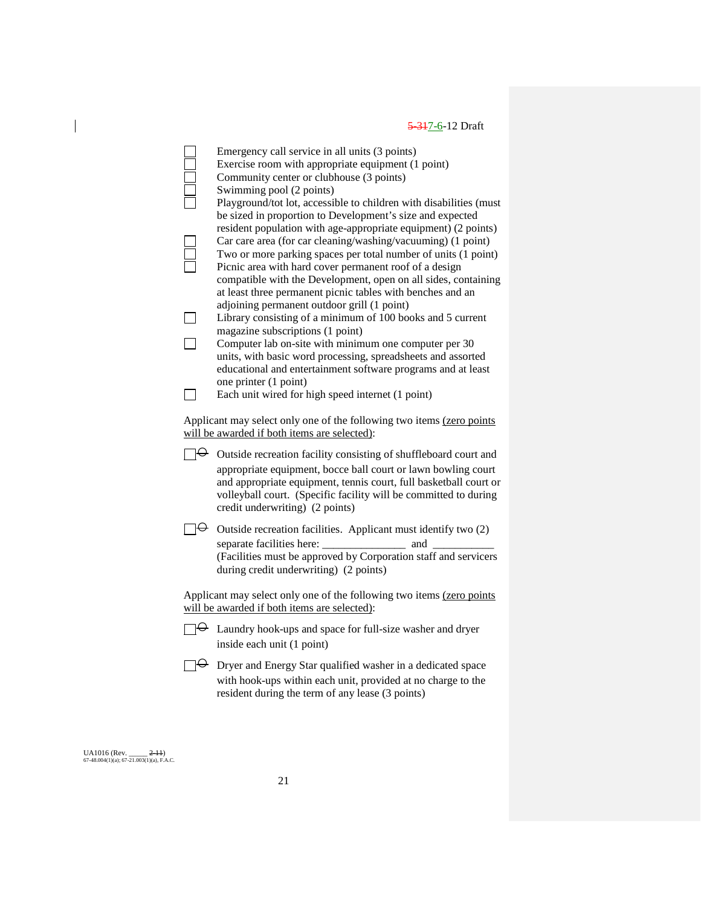|                         | Emergency call service in all units (3 points)<br>Exercise room with appropriate equipment (1 point)<br>Community center or clubhouse (3 points)<br>Swimming pool (2 points)                                                                                                                                             |
|-------------------------|--------------------------------------------------------------------------------------------------------------------------------------------------------------------------------------------------------------------------------------------------------------------------------------------------------------------------|
|                         | Playground/tot lot, accessible to children with disabilities (must<br>be sized in proportion to Development's size and expected<br>resident population with age-appropriate equipment) (2 points)                                                                                                                        |
|                         | Car care area (for car cleaning/washing/vacuuming) (1 point)<br>Two or more parking spaces per total number of units (1 point)<br>Picnic area with hard cover permanent roof of a design<br>compatible with the Development, open on all sides, containing<br>at least three permanent picnic tables with benches and an |
|                         | adjoining permanent outdoor grill (1 point)<br>Library consisting of a minimum of 100 books and 5 current                                                                                                                                                                                                                |
|                         | magazine subscriptions (1 point)                                                                                                                                                                                                                                                                                         |
|                         | Computer lab on-site with minimum one computer per 30<br>units, with basic word processing, spreadsheets and assorted<br>educational and entertainment software programs and at least<br>one printer (1 point)                                                                                                           |
| $\mathsf{L}$            | Each unit wired for high speed internet (1 point)                                                                                                                                                                                                                                                                        |
|                         | Applicant may select only one of the following two items (zero points<br>will be awarded if both items are selected):                                                                                                                                                                                                    |
|                         | $\Theta$ Outside recreation facility consisting of shuffleboard court and<br>appropriate equipment, bocce ball court or lawn bowling court<br>and appropriate equipment, tennis court, full basketball court or<br>volleyball court. (Specific facility will be committed to during<br>credit underwriting) (2 points)   |
| $\overline{\mathbf{t}}$ | Outside recreation facilities. Applicant must identify two (2)<br>separate facilities here:<br>and                                                                                                                                                                                                                       |
|                         | (Facilities must be approved by Corporation staff and servicers<br>during credit underwriting) (2 points)                                                                                                                                                                                                                |
|                         | Applicant may select only one of the following two items (zero points<br>will be awarded if both items are selected):                                                                                                                                                                                                    |
|                         | $\exists \Theta$ Laundry hook-ups and space for full-size washer and dryer<br>inside each unit (1 point)                                                                                                                                                                                                                 |
| ⅂⊖                      | Dryer and Energy Star qualified washer in a dedicated space<br>with hook-ups within each unit, provided at no charge to the<br>resident during the term of any lease (3 points)                                                                                                                                          |

UA1016 (Rev. \_\_\_\_\_ <del>2-11</del>)<br>67-48.004(1)(a); 67-21.003(1)(a), F.A.C.

 $\begin{array}{c} \hline \end{array}$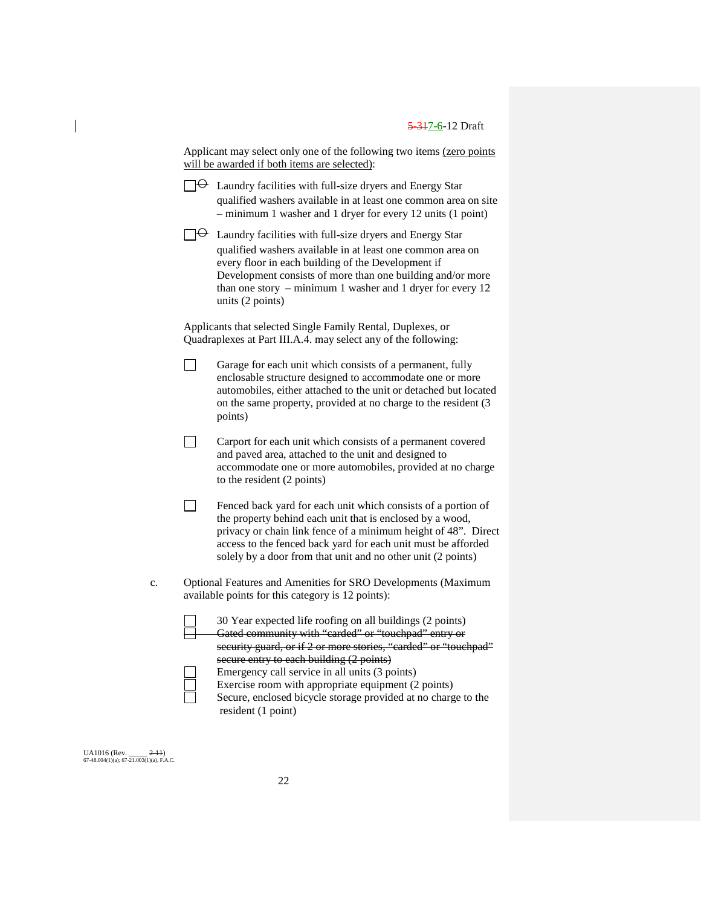| Applicant may select only one of the following two items (zero points |  |
|-----------------------------------------------------------------------|--|
| will be awarded if both items are selected):                          |  |

| $\Theta$ Laundry facilities with full-size dryers and Energy Star |
|-------------------------------------------------------------------|
| qualified washers available in at least one common area on site   |
| $-$ minimum 1 washer and 1 dryer for every 12 units (1 point)     |

Laundry facilities with full-size dryers and Energy Star qualified washers available in at least one common area on every floor in each building of the Development if Development consists of more than one building and/or more than one story – minimum 1 washer and 1 dryer for every 12 units (2 points)

Applicants that selected Single Family Rental, Duplexes, or Quadraplexes at Part III.A.4. may select any of the following:

- $\Box$ Garage for each unit which consists of a permanent, fully enclosable structure designed to accommodate one or more automobiles, either attached to the unit or detached but located on the same property, provided at no charge to the resident (3 points)
- $\Box$ Carport for each unit which consists of a permanent covered and paved area, attached to the unit and designed to accommodate one or more automobiles, provided at no charge to the resident (2 points)
- $\Box$ Fenced back yard for each unit which consists of a portion of the property behind each unit that is enclosed by a wood, privacy or chain link fence of a minimum height of 48". Direct access to the fenced back yard for each unit must be afforded solely by a door from that unit and no other unit (2 points)
- c. Optional Features and Amenities for SRO Developments (Maximum available points for this category is 12 points):

30 Year expected life roofing on all buildings (2 points) Gated community with "carded" or "touchpad" entry or security guard, or if 2 or more stories, "carded" or "touchpad" secure entry to each building (2 points) Emergency call service in all units (3 points) Exercise room with appropriate equipment (2 points)

Secure, enclosed bicycle storage provided at no charge to the resident (1 point)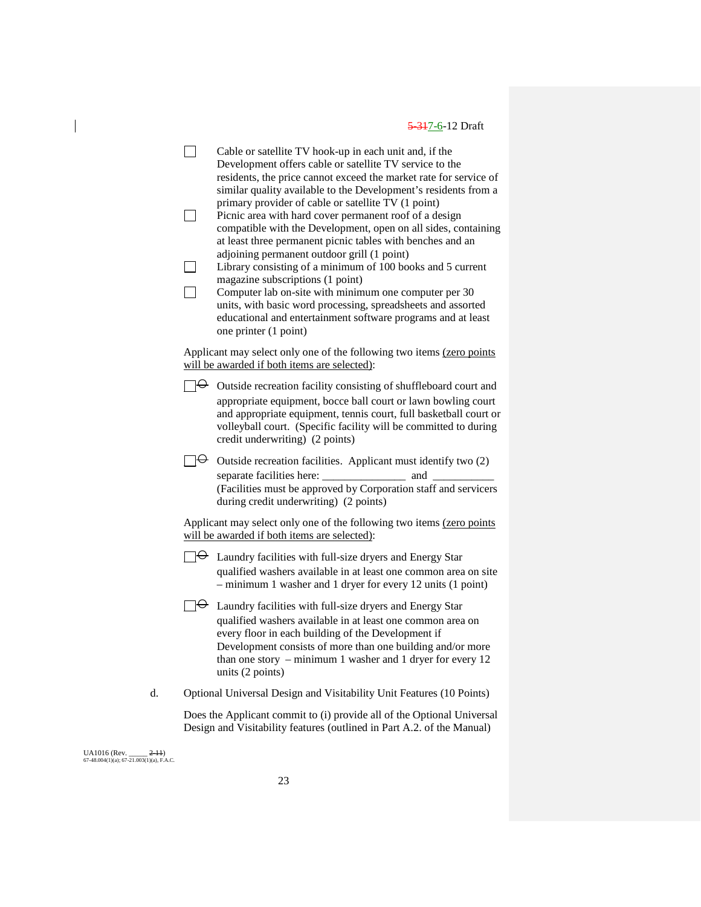$\Box$ Cable or satellite TV hook-up in each unit and, if the Development offers cable or satellite TV service to the residents, the price cannot exceed the market rate for service of similar quality available to the Development's residents from a primary provider of cable or satellite TV (1 point)  $\Box$ Picnic area with hard cover permanent roof of a design compatible with the Development, open on all sides, containing at least three permanent picnic tables with benches and an adjoining permanent outdoor grill (1 point)  $\Box$ Library consisting of a minimum of 100 books and 5 current magazine subscriptions (1 point)  $\Box$ Computer lab on-site with minimum one computer per 30 units, with basic word processing, spreadsheets and assorted educational and entertainment software programs and at least one printer (1 point) Applicant may select only one of the following two items (zero points will be awarded if both items are selected):  $\Box \Theta$  Outside recreation facility consisting of shuffleboard court and appropriate equipment, bocce ball court or lawn bowling court and appropriate equipment, tennis court, full basketball court or volleyball court. (Specific facility will be committed to during credit underwriting) (2 points)  $\Box \Theta$  Outside recreation facilities. Applicant must identify two (2) separate facilities here: \_\_\_\_\_\_\_\_\_\_\_\_\_\_\_ and \_\_\_\_\_\_\_\_\_\_\_ (Facilities must be approved by Corporation staff and servicers during credit underwriting) (2 points) Applicant may select only one of the following two items (zero points will be awarded if both items are selected):  $\Box \leftrightarrow$  Laundry facilities with full-size dryers and Energy Star qualified washers available in at least one common area on site – minimum 1 washer and 1 dryer for every 12 units (1 point)  $\Box \Theta$  Laundry facilities with full-size dryers and Energy Star qualified washers available in at least one common area on every floor in each building of the Development if Development consists of more than one building and/or more than one story – minimum 1 washer and 1 dryer for every 12 units (2 points) d. Optional Universal Design and Visitability Unit Features (10 Points) Does the Applicant commit to (i) provide all of the Optional Universal Design and Visitability features (outlined in Part A.2. of the Manual)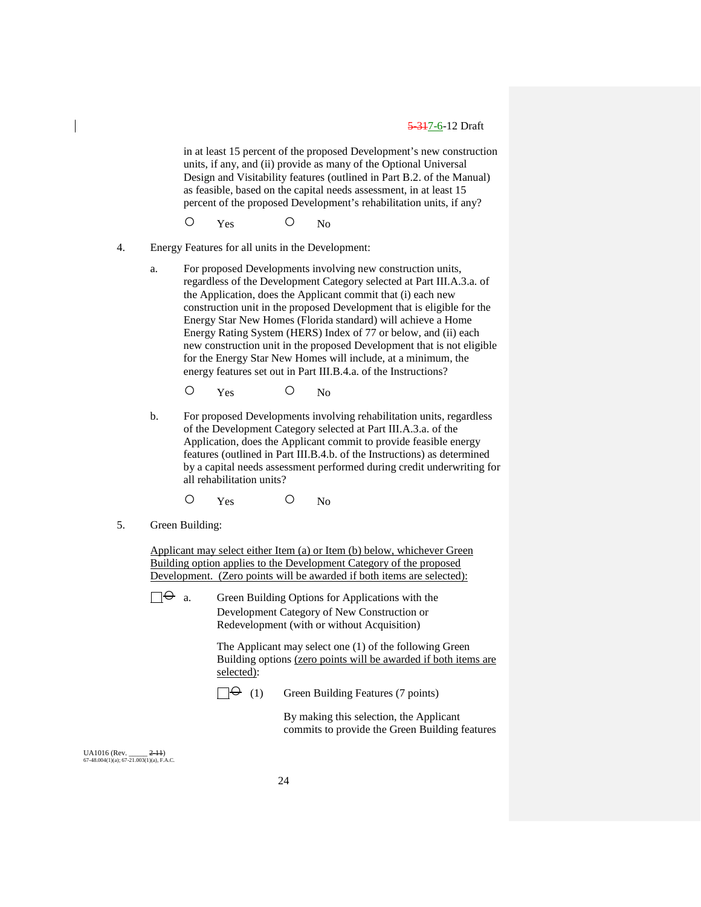in at least 15 percent of the proposed Development's new construction units, if any, and (ii) provide as many of the Optional Universal Design and Visitability features (outlined in Part B.2. of the Manual) as feasible, based on the capital needs assessment, in at least 15 percent of the proposed Development's rehabilitation units, if any?

O Yes O No

- 4. Energy Features for all units in the Development:
	- a. For proposed Developments involving new construction units, regardless of the Development Category selected at Part III.A.3.a. of the Application, does the Applicant commit that (i) each new construction unit in the proposed Development that is eligible for the Energy Star New Homes (Florida standard) will achieve a Home Energy Rating System (HERS) Index of 77 or below, and (ii) each new construction unit in the proposed Development that is not eligible for the Energy Star New Homes will include, at a minimum, the energy features set out in Part III.B.4.a. of the Instructions?
		- O Yes O No
	- b. For proposed Developments involving rehabilitation units, regardless of the Development Category selected at Part III.A.3.a. of the Application, does the Applicant commit to provide feasible energy features (outlined in Part III.B.4.b. of the Instructions) as determined by a capital needs assessment performed during credit underwriting for all rehabilitation units?
		- O Yes O No
- 5. Green Building:

Applicant may select either Item (a) or Item (b) below, whichever Green Building option applies to the Development Category of the proposed Development. (Zero points will be awarded if both items are selected):

 $\Box \Theta$  a. Green Building Options for Applications with the Development Category of New Construction or Redevelopment (with or without Acquisition)

> The Applicant may select one (1) of the following Green Building options (zero points will be awarded if both items are selected):

 $\Box \Theta$  (1) Green Building Features (7 points)

By making this selection, the Applicant commits to provide the Green Building features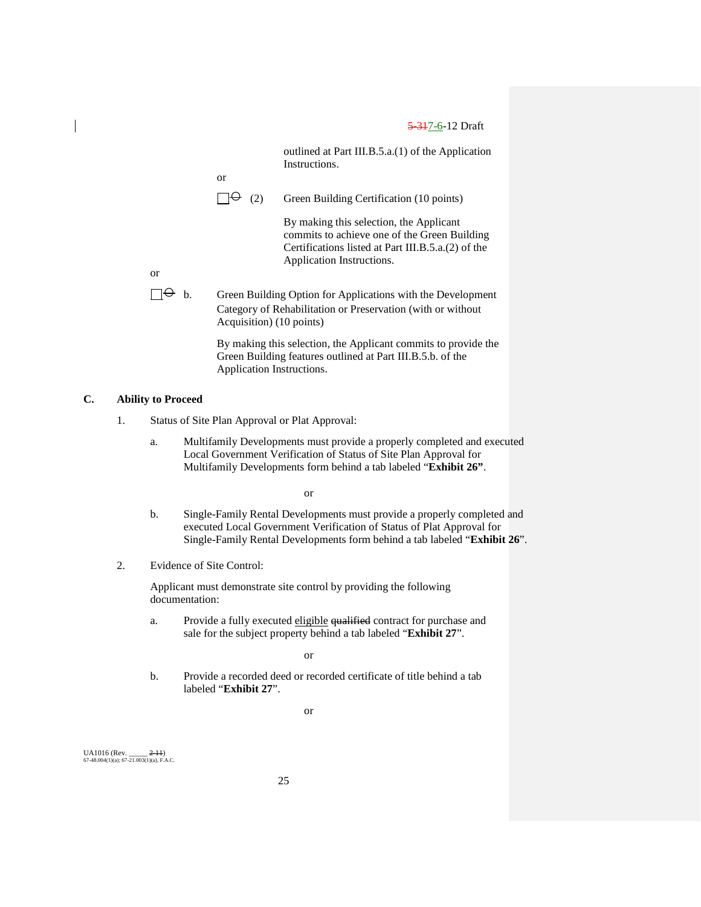outlined at Part III.B.5.a.(1) of the Application Instructions.

or

 $\Box \Theta$  (2) Green Building Certification (10 points)

By making this selection, the Applicant commits to achieve one of the Green Building Certifications listed at Part III.B.5.a.(2) of the Application Instructions.

or

 $\Box \Theta$  b. Green Building Option for Applications with the Development Category of Rehabilitation or Preservation (with or without Acquisition) (10 points)

> By making this selection, the Applicant commits to provide the Green Building features outlined at Part III.B.5.b. of the Application Instructions.

## **C. Ability to Proceed**

- 1. Status of Site Plan Approval or Plat Approval:
	- a. Multifamily Developments must provide a properly completed and executed Local Government Verification of Status of Site Plan Approval for Multifamily Developments form behind a tab labeled "**Exhibit 26"**.

or

- b. Single-Family Rental Developments must provide a properly completed and executed Local Government Verification of Status of Plat Approval for Single-Family Rental Developments form behind a tab labeled "**Exhibit 26**".
- 2. Evidence of Site Control:

Applicant must demonstrate site control by providing the following documentation:

a. Provide a fully executed eligible qualified contract for purchase and sale for the subject property behind a tab labeled "**Exhibit 27**".

or

b. Provide a recorded deed or recorded certificate of title behind a tab labeled "**Exhibit 27**".

or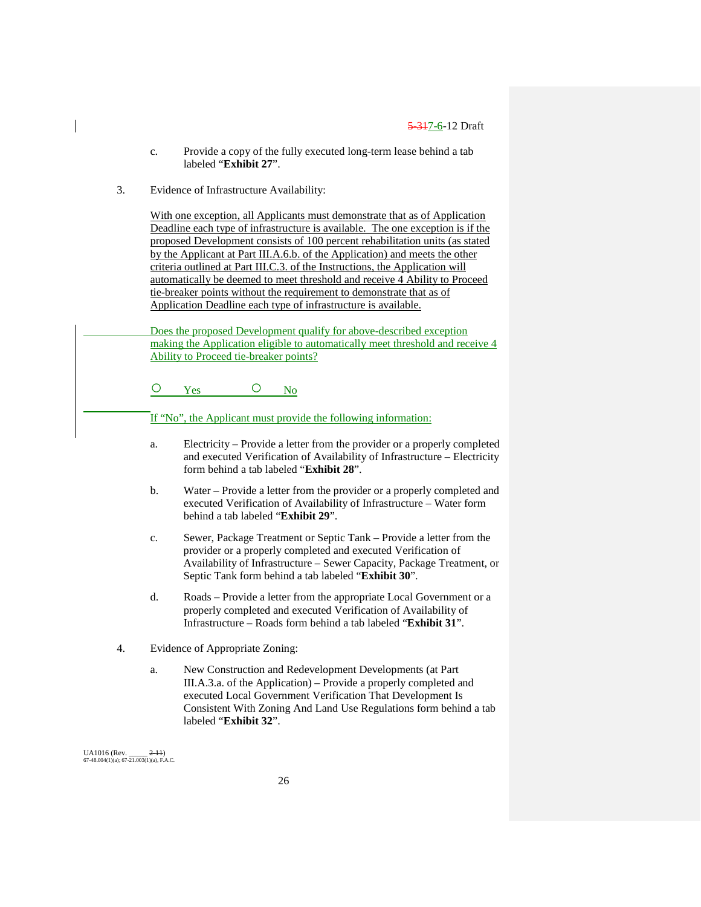- c. Provide a copy of the fully executed long-term lease behind a tab labeled "**Exhibit 27**".
- 3. Evidence of Infrastructure Availability:

With one exception, all Applicants must demonstrate that as of Application Deadline each type of infrastructure is available. The one exception is if the proposed Development consists of 100 percent rehabilitation units (as stated by the Applicant at Part III.A.6.b. of the Application) and meets the other criteria outlined at Part III.C.3. of the Instructions, the Application will automatically be deemed to meet threshold and receive 4 Ability to Proceed tie-breaker points without the requirement to demonstrate that as of Application Deadline each type of infrastructure is available.

Does the proposed Development qualify for above-described exception making the Application eligible to automatically meet threshold and receive 4 Ability to Proceed tie-breaker points?

O Yes O No

If "No", the Applicant must provide the following information:

- a. Electricity Provide a letter from the provider or a properly completed and executed Verification of Availability of Infrastructure – Electricity form behind a tab labeled "**Exhibit 28**".
- b. Water Provide a letter from the provider or a properly completed and executed Verification of Availability of Infrastructure – Water form behind a tab labeled "**Exhibit 29**".
- c. Sewer, Package Treatment or Septic Tank Provide a letter from the provider or a properly completed and executed Verification of Availability of Infrastructure – Sewer Capacity, Package Treatment, or Septic Tank form behind a tab labeled "**Exhibit 30**".
- d. Roads Provide a letter from the appropriate Local Government or a properly completed and executed Verification of Availability of Infrastructure – Roads form behind a tab labeled "**Exhibit 31**".
- 4. Evidence of Appropriate Zoning:
	- a. New Construction and Redevelopment Developments (at Part III.A.3.a. of the Application) – Provide a properly completed and executed Local Government Verification That Development Is Consistent With Zoning And Land Use Regulations form behind a tab labeled "**Exhibit 32**".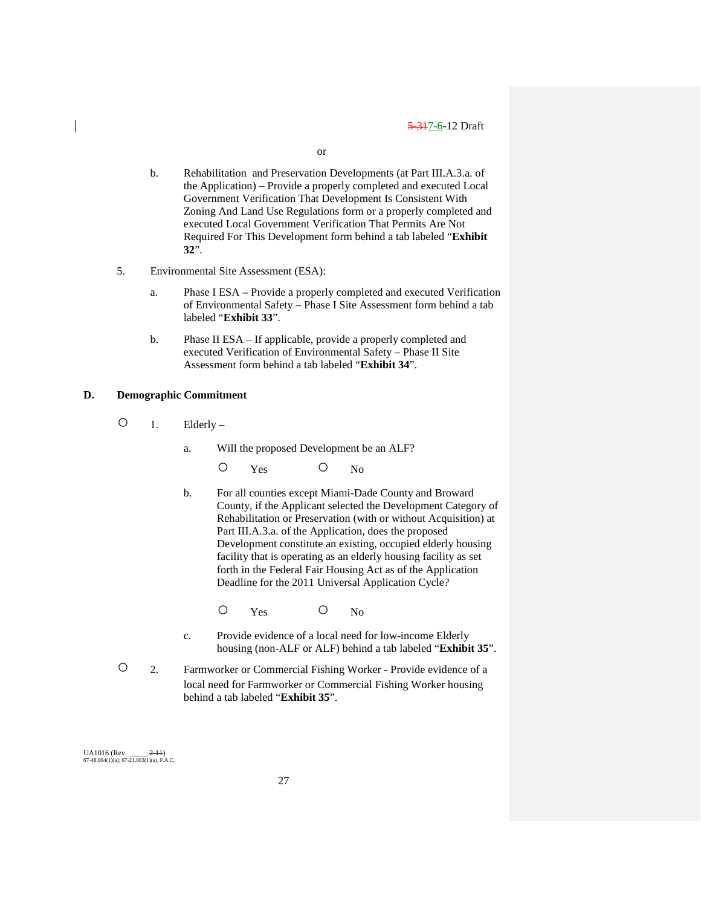or

- b. Rehabilitation and Preservation Developments (at Part III.A.3.a. of the Application) – Provide a properly completed and executed Local Government Verification That Development Is Consistent With Zoning And Land Use Regulations form or a properly completed and executed Local Government Verification That Permits Are Not Required For This Development form behind a tab labeled "**Exhibit 32**".
- 5. Environmental Site Assessment (ESA):
	- a. Phase I ESA **–** Provide a properly completed and executed Verification of Environmental Safety – Phase I Site Assessment form behind a tab labeled "**Exhibit 33**".
	- b. Phase II ESA If applicable, provide a properly completed and executed Verification of Environmental Safety – Phase II Site Assessment form behind a tab labeled "**Exhibit 34**".

## **D. Demographic Commitment**

- $\bigcirc$  1. Elderly
	- a. Will the proposed Development be an ALF?

O Yes O No

- b. For all counties except Miami-Dade County and Broward County, if the Applicant selected the Development Category of Rehabilitation or Preservation (with or without Acquisition) at Part III.A.3.a. of the Application, does the proposed Development constitute an existing, occupied elderly housing facility that is operating as an elderly housing facility as set forth in the Federal Fair Housing Act as of the Application Deadline for the 2011 Universal Application Cycle?
	- O Yes O No
- c. Provide evidence of a local need for low-income Elderly housing (non-ALF or ALF) behind a tab labeled "**Exhibit 35**".
- 2. Farmworker or Commercial Fishing Worker Provide evidence of a local need for Farmworker or Commercial Fishing Worker housing behind a tab labeled "**Exhibit 35**".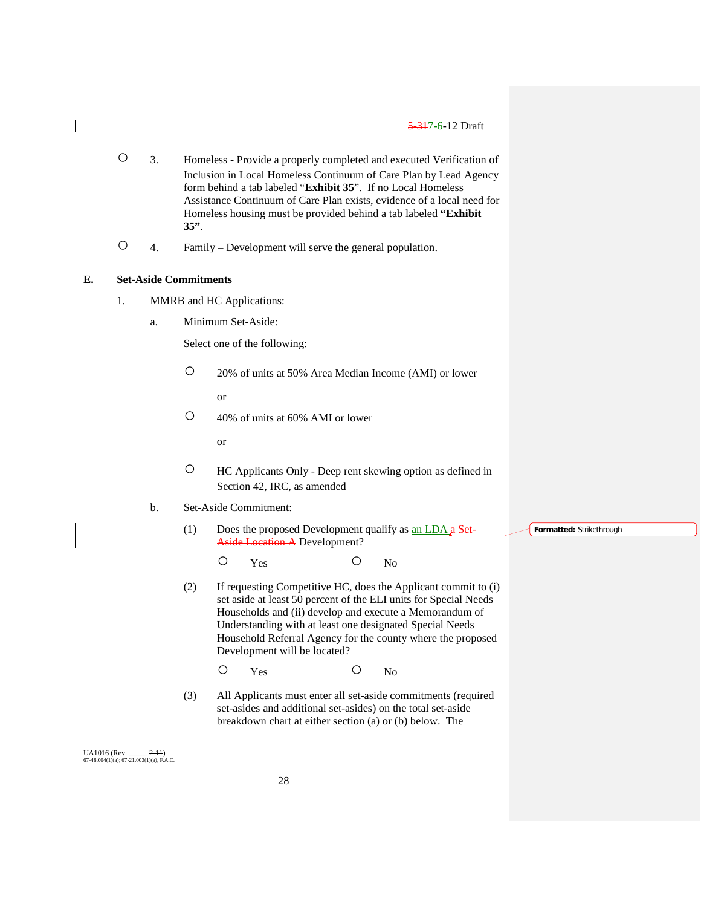- 3. Homeless Provide a properly completed and executed Verification of Inclusion in Local Homeless Continuum of Care Plan by Lead Agency form behind a tab labeled "**Exhibit 35**". If no Local Homeless Assistance Continuum of Care Plan exists, evidence of a local need for Homeless housing must be provided behind a tab labeled **"Exhibit 35"**.
- 4. Family Development will serve the general population.

## **E. Set-Aside Commitments**

- 1. MMRB and HC Applications:
	- a. Minimum Set-Aside:

Select one of the following:

○ 20% of units at 50% Area Median Income (AMI) or lower

or

○ 40% of units at 60% AMI or lower

or

- HC Applicants Only Deep rent skewing option as defined in Section 42, IRC, as amended
- b. Set-Aside Commitment:
	- (1) Does the proposed Development qualify as an LDA  $\alpha$  Set-Aside Location A Development?

O Yes O No

(2) If requesting Competitive HC, does the Applicant commit to (i) set aside at least 50 percent of the ELI units for Special Needs Households and (ii) develop and execute a Memorandum of Understanding with at least one designated Special Needs Household Referral Agency for the county where the proposed Development will be located?

O Yes O No

(3) All Applicants must enter all set-aside commitments (required set-asides and additional set-asides) on the total set-aside breakdown chart at either section (a) or (b) below. The

UA1016 (Rev. \_\_\_\_\_ 2-11)  $67-48.004(1)(a)$ ;  $67-21.003(1)(a)$ , F.A.C. **Formatted:** Strikethrough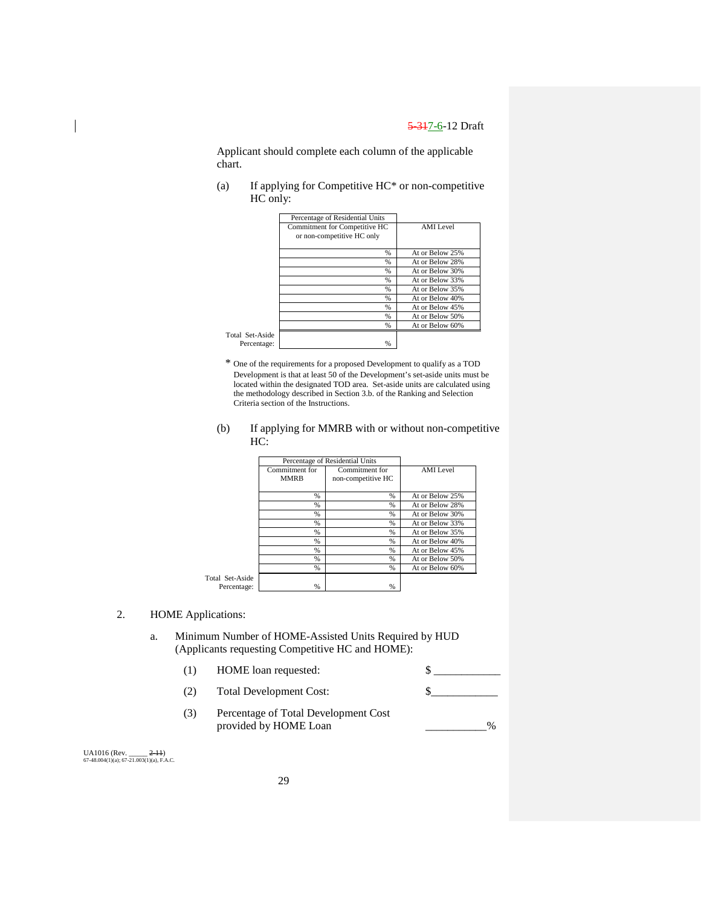Applicant should complete each column of the applicable chart.

(a) If applying for Competitive HC\* or non-competitive HC only:

|                 | Percentage of Residential Units |                 |
|-----------------|---------------------------------|-----------------|
|                 | Commitment for Competitive HC   | AMI Level       |
|                 | or non-competitive HC only      |                 |
|                 |                                 |                 |
|                 |                                 |                 |
|                 | %                               | At or Below 25% |
|                 | %                               | At or Below 28% |
|                 | $\frac{9}{6}$                   | At or Below 30% |
|                 | %                               | At or Below 33% |
|                 | %                               | At or Below 35% |
|                 | $\frac{0}{0}$                   | At or Below 40% |
|                 | $\frac{0}{0}$                   | At or Below 45% |
|                 | $\frac{0}{0}$                   | At or Below 50% |
|                 | %                               | At or Below 60% |
| Total Set-Aside |                                 |                 |
| Percentage:     | %                               |                 |
|                 |                                 |                 |

- \* One of the requirements for a proposed Development to qualify as a TOD Development is that at least 50 of the Development's set-aside units must be located within the designated TOD area. Set-aside units are calculated using the methodology described in Section 3.b. of the Ranking and Selection Criteria section of the Instructions.
- (b) If applying for MMRB with or without non-competitive HC:

|                                |                               | Percentage of Residential Units      |                 |
|--------------------------------|-------------------------------|--------------------------------------|-----------------|
|                                | Commitment for<br><b>MMRB</b> | Commitment for<br>non-competitive HC | AMI Level       |
|                                | $\%$                          | $\%$                                 | At or Below 25% |
|                                | $\%$                          | $\%$                                 | At or Below 28% |
|                                | $\%$                          | $\frac{9}{6}$                        | At or Below 30% |
|                                | $\%$                          | $\%$                                 | At or Below 33% |
|                                | $\%$                          | $\%$                                 | At or Below 35% |
|                                | %                             | %                                    | At or Below 40% |
|                                | $\%$                          | $\%$                                 | At or Below 45% |
|                                | $\%$                          | $\%$                                 | At or Below 50% |
|                                | $\%$                          | $\%$                                 | At or Below 60% |
| Total Set-Aside<br>Percentage: | %                             | $\%$                                 |                 |

## 2. HOME Applications:

- a. Minimum Number of HOME-Assisted Units Required by HUD (Applicants requesting Competitive HC and HOME):
	- (1) HOME loan requested:  $\qquad \qquad$  \$
	- (2) Total Development Cost: \$\_\_\_\_\_\_\_\_\_\_\_\_
	- (3) Percentage of Total Development Cost provided by HOME Loan 2008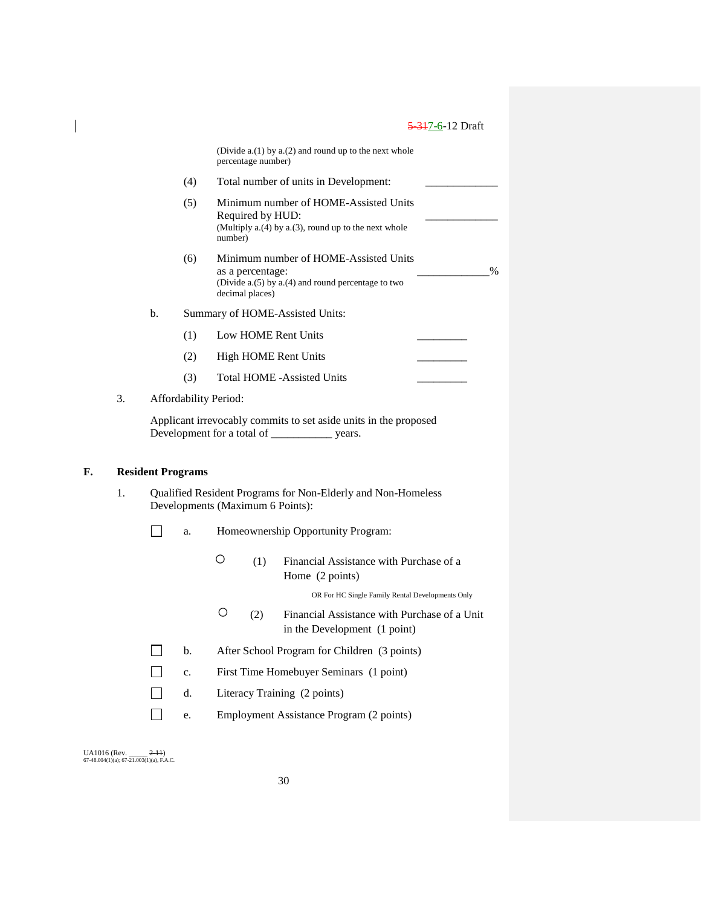|    |    |    |                          | percentage number)                  | (Divide $a(1)$ by $a(2)$ and round up to the next whole                                                        |  |
|----|----|----|--------------------------|-------------------------------------|----------------------------------------------------------------------------------------------------------------|--|
|    |    |    | (4)                      |                                     | Total number of units in Development:                                                                          |  |
|    |    |    | (5)                      | Required by HUD:<br>number)         | Minimum number of HOME-Assisted Units<br>(Multiply a.(4) by a.(3), round up to the next whole                  |  |
|    |    |    | (6)                      | as a percentage:<br>decimal places) | Minimum number of HOME-Assisted Units<br>$\frac{0}{0}$<br>(Divide $a(5)$ by $a(4)$ and round percentage to two |  |
|    |    | b. |                          |                                     | Summary of HOME-Assisted Units:                                                                                |  |
|    |    |    | (1)                      |                                     | Low HOME Rent Units                                                                                            |  |
|    |    |    | (2)                      |                                     | <b>High HOME Rent Units</b>                                                                                    |  |
|    |    |    | (3)                      |                                     | <b>Total HOME -Assisted Units</b>                                                                              |  |
|    | 3. |    |                          | Affordability Period:               |                                                                                                                |  |
|    |    |    |                          |                                     | Applicant irrevocably commits to set aside units in the proposed                                               |  |
| F. |    |    | <b>Resident Programs</b> |                                     |                                                                                                                |  |
|    | 1. |    |                          | Developments (Maximum 6 Points):    | Qualified Resident Programs for Non-Elderly and Non-Homeless                                                   |  |
|    |    |    | a.                       |                                     | Homeownership Opportunity Program:                                                                             |  |
|    |    |    |                          | Ο<br>(1)                            | Financial Assistance with Purchase of a<br>Home (2 points)                                                     |  |
|    |    |    |                          |                                     | OR For HC Single Family Rental Developments Only                                                               |  |
|    |    |    |                          | О<br>(2)                            | Financial Assistance with Purchase of a Unit<br>in the Development (1 point)                                   |  |
|    |    |    | b.                       |                                     | After School Program for Children (3 points)                                                                   |  |
|    |    |    | $\mathbf{c}$ .           |                                     | First Time Homebuyer Seminars (1 point)                                                                        |  |
|    |    |    |                          |                                     |                                                                                                                |  |
|    |    |    | d.                       |                                     | Literacy Training (2 points)                                                                                   |  |

UA1016 (Rev. \_\_\_\_\_ <del>2-11</del>)<br>67-48.004(1)(a); 67-21.003(1)(a), F.A.C.

 $\mathsf I$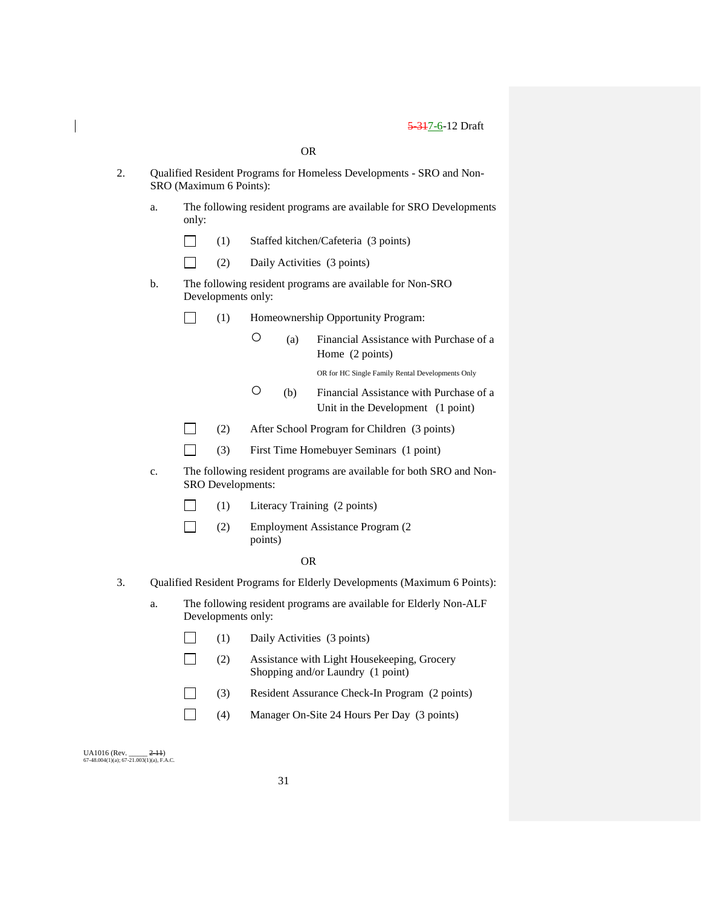|    |    |       |                                                                                                 |                                                                                          | <b>OR</b> |                                                                                  |  |  |  |
|----|----|-------|-------------------------------------------------------------------------------------------------|------------------------------------------------------------------------------------------|-----------|----------------------------------------------------------------------------------|--|--|--|
| 2. |    |       | Qualified Resident Programs for Homeless Developments - SRO and Non-<br>SRO (Maximum 6 Points): |                                                                                          |           |                                                                                  |  |  |  |
|    | a. | only: |                                                                                                 | The following resident programs are available for SRO Developments                       |           |                                                                                  |  |  |  |
|    |    |       | (1)                                                                                             |                                                                                          |           | Staffed kitchen/Cafeteria (3 points)                                             |  |  |  |
|    |    |       | (2)                                                                                             |                                                                                          |           | Daily Activities (3 points)                                                      |  |  |  |
|    | b. |       | Developments only:                                                                              | The following resident programs are available for Non-SRO                                |           |                                                                                  |  |  |  |
|    |    |       | (1)                                                                                             |                                                                                          |           | Homeownership Opportunity Program:                                               |  |  |  |
|    |    |       |                                                                                                 | O                                                                                        | (a)       | Financial Assistance with Purchase of a<br>Home (2 points)                       |  |  |  |
|    |    |       |                                                                                                 |                                                                                          |           | OR for HC Single Family Rental Developments Only                                 |  |  |  |
|    |    |       |                                                                                                 | О                                                                                        | (b)       | Financial Assistance with Purchase of a<br>Unit in the Development (1 point)     |  |  |  |
|    |    |       | (2)                                                                                             |                                                                                          |           | After School Program for Children (3 points)                                     |  |  |  |
|    |    |       | (3)                                                                                             |                                                                                          |           | First Time Homebuyer Seminars (1 point)                                          |  |  |  |
|    | c. |       |                                                                                                 | The following resident programs are available for both SRO and Non-<br>SRO Developments: |           |                                                                                  |  |  |  |
|    |    |       | (1)                                                                                             |                                                                                          |           | Literacy Training (2 points)                                                     |  |  |  |
|    |    |       | (2)                                                                                             | points)                                                                                  |           | Employment Assistance Program (2                                                 |  |  |  |
|    |    |       |                                                                                                 |                                                                                          | <b>OR</b> |                                                                                  |  |  |  |
| 3. |    |       |                                                                                                 |                                                                                          |           | Qualified Resident Programs for Elderly Developments (Maximum 6 Points):         |  |  |  |
|    | a. |       | Developments only:                                                                              |                                                                                          |           | The following resident programs are available for Elderly Non-ALF                |  |  |  |
|    |    |       | (1)                                                                                             |                                                                                          |           | Daily Activities (3 points)                                                      |  |  |  |
|    |    |       | (2)                                                                                             |                                                                                          |           | Assistance with Light Housekeeping, Grocery<br>Shopping and/or Laundry (1 point) |  |  |  |
|    |    |       | (3)                                                                                             |                                                                                          |           | Resident Assurance Check-In Program (2 points)                                   |  |  |  |
|    |    |       | (4)                                                                                             |                                                                                          |           | Manager On-Site 24 Hours Per Day (3 points)                                      |  |  |  |

UA1016 (Rev. \_\_\_\_\_ <del>2-11</del>)<br>67-48.004(1)(a); 67-21.003(1)(a), F.A.C.

 $\begin{array}{c} \hline \end{array}$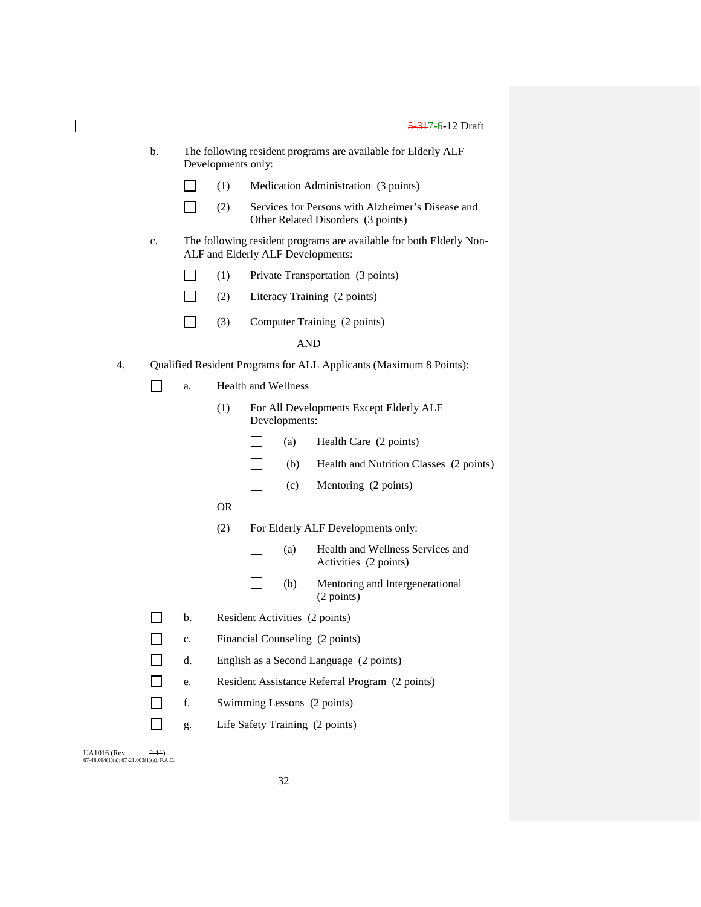| b. | The following resident programs are available for Elderly ALF |
|----|---------------------------------------------------------------|
|    | Developments only:                                            |

| $\Box$ | (1) | Medication Administration (3 points) |  |
|--------|-----|--------------------------------------|--|
|        |     |                                      |  |

- $\Box$ (2) Services for Persons with Alzheimer's Disease and Other Related Disorders (3 points)
- c. The following resident programs are available for both Elderly Non-ALF and Elderly ALF Developments:

| Private Transportation (3 points) | $\Box$<br>(1) |  |  |
|-----------------------------------|---------------|--|--|
|-----------------------------------|---------------|--|--|

- $\Box$ (2) Literacy Training (2 points)
- $\Box$ (3) Computer Training (2 points)

## AND

- 4. Qualified Resident Programs for ALL Applicants (Maximum 8 Points):
	- $\Box$ a. Health and Wellness
		- (1) For All Developments Except Elderly ALF Developments:
			- $\overline{\phantom{a}}$ (a) Health Care (2 points)
			- $\Box$ (b) Health and Nutrition Classes (2 points)
			- $\Box$ (c) Mentoring (2 points)
		- OR
		- (2) For Elderly ALF Developments only:
			- $\Box$ (a) Health and Wellness Services and Activities (2 points)
			- $\Box$ (b) Mentoring and Intergenerational (2 points)
	- $\Box$ b. Resident Activities (2 points)
	- $\Box$ c. Financial Counseling (2 points)
	- $\Box$ d. English as a Second Language (2 points)
	- $\Box$ e. Resident Assistance Referral Program (2 points)
	- $\Box$ f. Swimming Lessons (2 points)
	- $\Box$ g. Life Safety Training (2 points)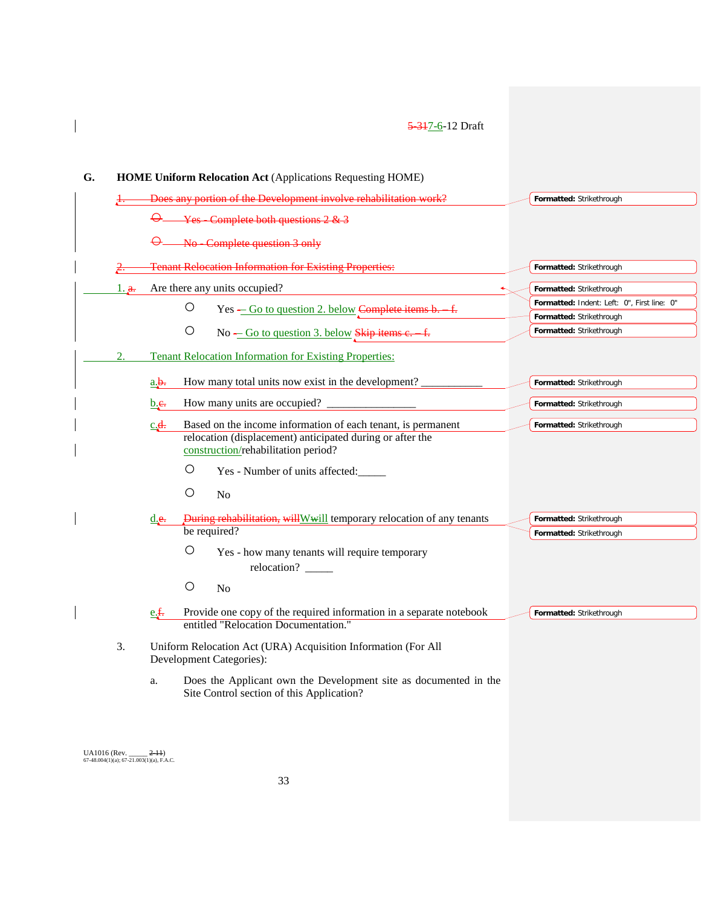| G. |              |                      | <b>HOME Uniform Relocation Act (Applications Requesting HOME)</b>                                                         |                                                                         |
|----|--------------|----------------------|---------------------------------------------------------------------------------------------------------------------------|-------------------------------------------------------------------------|
|    |              |                      | Does any portion of the Development involve rehabilitation work?                                                          | Formatted: Strikethrough                                                |
|    |              |                      | Yes - Complete both questions 2 & 3                                                                                       |                                                                         |
|    |              |                      | No Complete question 3 only                                                                                               |                                                                         |
|    |              |                      | <b>Tenant Relocation Information for Existing Properties:</b>                                                             | Formatted: Strikethrough                                                |
|    | $1_{.}a_{.}$ |                      | Are there any units occupied?                                                                                             | Formatted: Strikethrough                                                |
|    |              |                      | O<br>Yes - Go to question 2. below Complete items b. f.                                                                   | Formatted: Indent: Left: 0", First line: 0"<br>Formatted: Strikethrough |
|    |              |                      | $\bigcirc$<br>No – Go to question 3. below Skip items e. f.                                                               | Formatted: Strikethrough                                                |
|    | 2.           |                      | <b>Tenant Relocation Information for Existing Properties:</b>                                                             |                                                                         |
|    |              | $a_{\cdot}b_{\cdot}$ | How many total units now exist in the development?                                                                        | Formatted: Strikethrough                                                |
|    |              | b.e.                 | How many units are occupied?                                                                                              | Formatted: Strikethrough                                                |
|    |              | $c$ <b>4</b> .       | Based on the income information of each tenant, is permanent<br>relocation (displacement) anticipated during or after the | Formatted: Strikethrough                                                |
|    |              |                      | construction/rehabilitation period?                                                                                       |                                                                         |
|    |              |                      | $\bigcirc$<br>Yes - Number of units affected:                                                                             |                                                                         |
|    |              |                      | $\bigcirc$<br>N <sub>0</sub>                                                                                              |                                                                         |
|    |              | d.e.                 | <b>During rehabilitation, will Wwill temporary relocation of any tenants</b>                                              | Formatted: Strikethrough                                                |
|    |              |                      | be required?                                                                                                              | Formatted: Strikethrough                                                |
|    |              |                      | O<br>Yes - how many tenants will require temporary<br>relocation? ______                                                  |                                                                         |
|    |              |                      | O<br>No                                                                                                                   |                                                                         |
|    |              | e.f.                 | Provide one copy of the required information in a separate notebook<br>entitled "Relocation Documentation."               | Formatted: Strikethrough                                                |
|    | 3.           |                      | Uniform Relocation Act (URA) Acquisition Information (For All<br>Development Categories):                                 |                                                                         |
|    |              | a.                   | Does the Applicant own the Development site as documented in the<br>Site Control section of this Application?             |                                                                         |

UA1016 (Rev. \_\_\_\_\_ <del>2-11</del>)<br>67-48.004(1)(a); 67-21.003(1)(a), F.A.C.

 $\begin{array}{c} \hline \end{array}$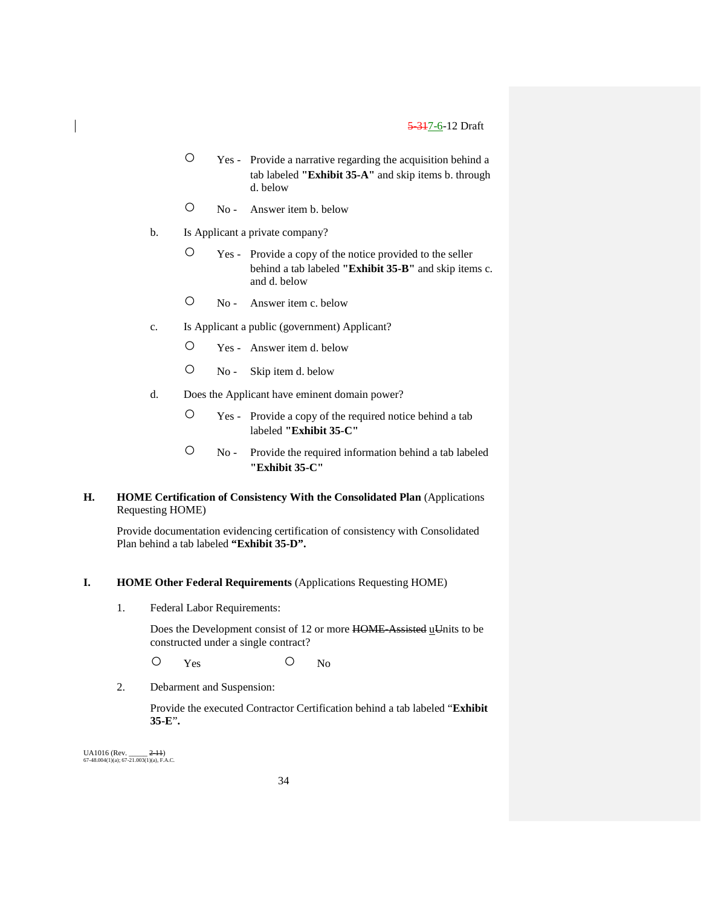- Yes Provide a narrative regarding the acquisition behind a tab labeled **"Exhibit 35-A"** and skip items b. through d. below
- No Answer item b. below
- b. Is Applicant a private company?
	- Yes Provide a copy of the notice provided to the seller behind a tab labeled **"Exhibit 35-B"** and skip items c. and d. below
	- No Answer item c. below
- c. Is Applicant a public (government) Applicant?
	- Yes Answer item d. below
	- No Skip item d. below
- d. Does the Applicant have eminent domain power?
	- Yes Provide a copy of the required notice behind a tab labeled **"Exhibit 35-C"**
	- No Provide the required information behind a tab labeled **"Exhibit 35-C"**

## **H. HOME Certification of Consistency With the Consolidated Plan** (Applications Requesting HOME)

Provide documentation evidencing certification of consistency with Consolidated Plan behind a tab labeled **"Exhibit 35-D".**

#### **I. HOME Other Federal Requirements** (Applications Requesting HOME)

1. Federal Labor Requirements:

Does the Development consist of 12 or more HOME-Assisted uUnits to be constructed under a single contract?

O Yes O No

2. Debarment and Suspension:

Provide the executed Contractor Certification behind a tab labeled "**Exhibit 35-E**"**.**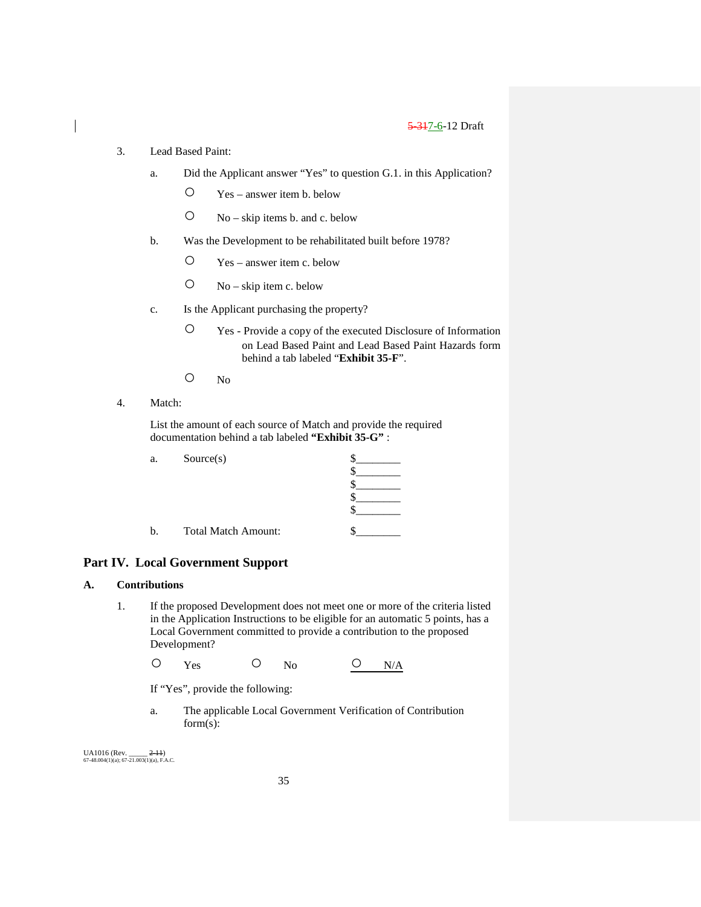- 3. Lead Based Paint:
	- a. Did the Applicant answer "Yes" to question G.1. in this Application?
		- Yes answer item b. below
		- No skip items b. and c. below
	- b. Was the Development to be rehabilitated built before 1978?
		- Yes answer item c. below
		- $O$  No skip item c. below
	- c. Is the Applicant purchasing the property?
		- Yes Provide a copy of the executed Disclosure of Information on Lead Based Paint and Lead Based Paint Hazards form behind a tab labeled "**Exhibit 35-F**".
		- No
- 4. Match:

List the amount of each source of Match and provide the required documentation behind a tab labeled **"Exhibit 35-G"** :

| a. | Source(s)                  |  |
|----|----------------------------|--|
|    |                            |  |
|    |                            |  |
|    |                            |  |
|    |                            |  |
|    |                            |  |
|    | <b>Total Match Amount:</b> |  |

## **Part IV. Local Government Support**

## **A. Contributions**

1. If the proposed Development does not meet one or more of the criteria listed in the Application Instructions to be eligible for an automatic 5 points, has a Local Government committed to provide a contribution to the proposed Development?

O Yes O No <u>O N/A</u>

If "Yes", provide the following:

a. The applicable Local Government Verification of Contribution form(s):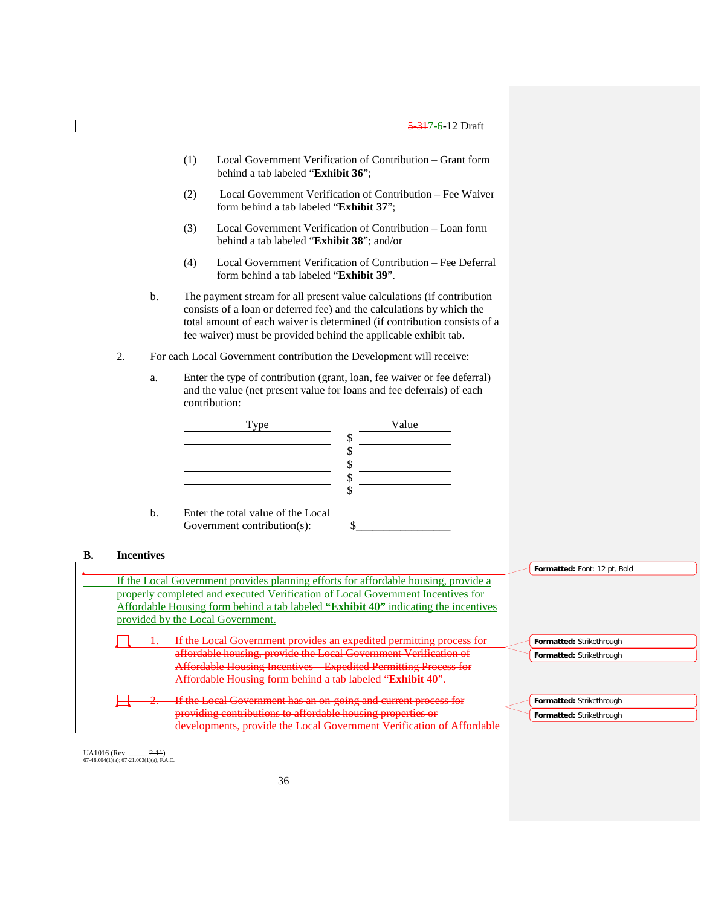- (1) Local Government Verification of Contribution Grant form behind a tab labeled "**Exhibit 36**";
- (2) Local Government Verification of Contribution Fee Waiver form behind a tab labeled "**Exhibit 37**";
- (3) Local Government Verification of Contribution Loan form behind a tab labeled "**Exhibit 38**"; and/or
- (4) Local Government Verification of Contribution Fee Deferral form behind a tab labeled "**Exhibit 39**".
- b. The payment stream for all present value calculations (if contribution consists of a loan or deferred fee) and the calculations by which the total amount of each waiver is determined (if contribution consists of a fee waiver) must be provided behind the applicable exhibit tab.
- 2. For each Local Government contribution the Development will receive:
	- a. Enter the type of contribution (grant, loan, fee waiver or fee deferral) and the value (net present value for loans and fee deferrals) of each contribution:



### **B. Incentives** If the Local Government provides planning efforts for affordable housing, provide a properly completed and executed Verification of Local Government Incentives for Affordable Housing form behind a tab labeled **"Exhibit 40"** indicating the incentives provided by the Local Government. If the Local Government provides an expedited permitting process for affordable housing, provide the Local Government Verification of Affordable Housing Incentives – Expedited Permitting Process for Affordable Housing form behind a tab labeled "**Exhibit 40**". If the Local Government has an on-going and current process for providing contributions to affordable housing properties or developments, provide the Local Government Verification of Affordable **Formatted:** Font: 12 pt, Bold **Formatted:** Strikethrough **Formatted:** Strikethrough **Formatted:** Strikethrough **Formatted:** Strikethrough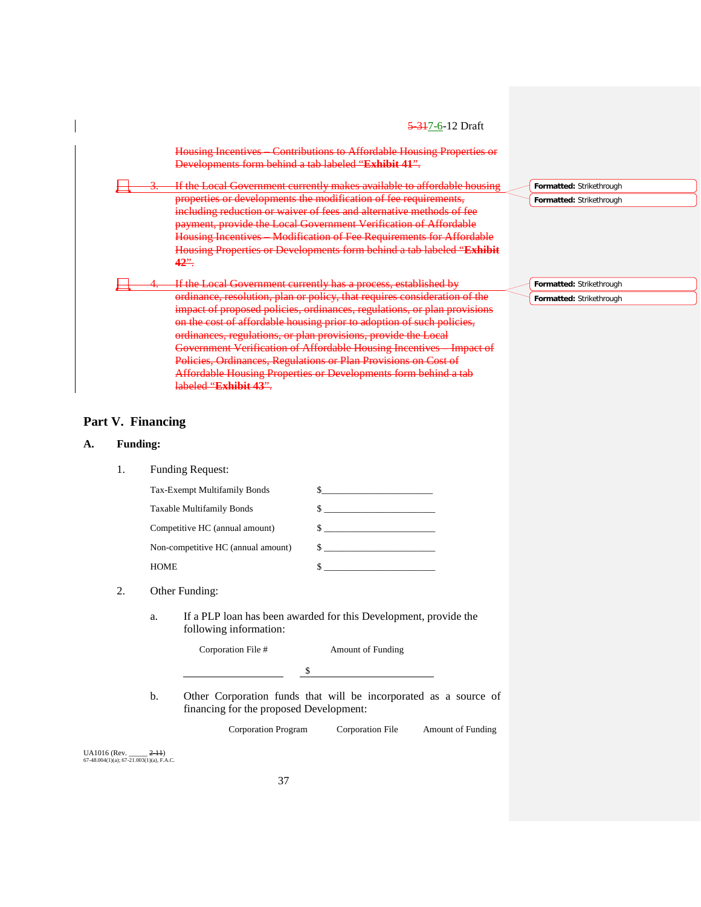|                          | <del>5 31</del> 7-6-12 Draft                                                                                                 |                          |
|--------------------------|------------------------------------------------------------------------------------------------------------------------------|--------------------------|
|                          | Housing Incentives Contributions to Affordable Housing Properties or<br>Developments form behind a tab labeled "Exhibit 41". |                          |
| $\overline{\phantom{a}}$ | If the Local Government currently makes available to affordable housing                                                      | Formatted: Strikethrough |
|                          | properties or developments the modification of fee requirements,                                                             | Formatted: Strikethrough |
|                          | including reduction or waiver of fees and alternative methods of fee                                                         |                          |
|                          | payment, provide the Local Government Verification of Affordable                                                             |                          |
|                          | Housing Incentives Modification of Fee Requirements for Affordable                                                           |                          |
|                          | Housing Properties or Developments form behind a tab labeled "Exhibit                                                        |                          |
|                          | <u>42".</u>                                                                                                                  |                          |
|                          | If the Local Government currently has a process, established by                                                              | Formatted: Strikethrough |
|                          | ordinance, resolution, plan or policy, that requires consideration of the                                                    | Formatted: Strikethrough |
|                          | impact of proposed policies, ordinances, regulations, or plan provisions                                                     |                          |
|                          | on the cost of affordable housing prior to adoption of such policies,                                                        |                          |
|                          | ordinances, regulations, or plan provisions, provide the Local                                                               |                          |
|                          | Government Verification of Affordable Housing Incentives Impact of                                                           |                          |
|                          | Policies, Ordinances, Regulations or Plan Provisions on Cost of                                                              |                          |
|                          | <b>Affordable Housing Properties or Developments form behind a tab</b>                                                       |                          |
|                          | <del>labeled "<b>Exhibit 43</b>".</del>                                                                                      |                          |
|                          |                                                                                                                              |                          |

# **Part V. Financing**

# **A. Funding:**

1. Funding Request:

| Tax-Exempt Multifamily Bonds       |              |
|------------------------------------|--------------|
| Taxable Multifamily Bonds          |              |
| Competitive HC (annual amount)     |              |
| Non-competitive HC (annual amount) | $\mathbb{S}$ |
| HOME                               |              |

## 2. Other Funding:

a. If a PLP loan has been awarded for this Development, provide the following information:

|    | Corporation File #                                               |  | <b>Amount of Funding</b> |  |  |  |
|----|------------------------------------------------------------------|--|--------------------------|--|--|--|
|    |                                                                  |  |                          |  |  |  |
| b. | Other Corporation funds that will be incorporated as a source of |  |                          |  |  |  |

financing for the proposed Development:

Corporation Program Corporation File Amount of Funding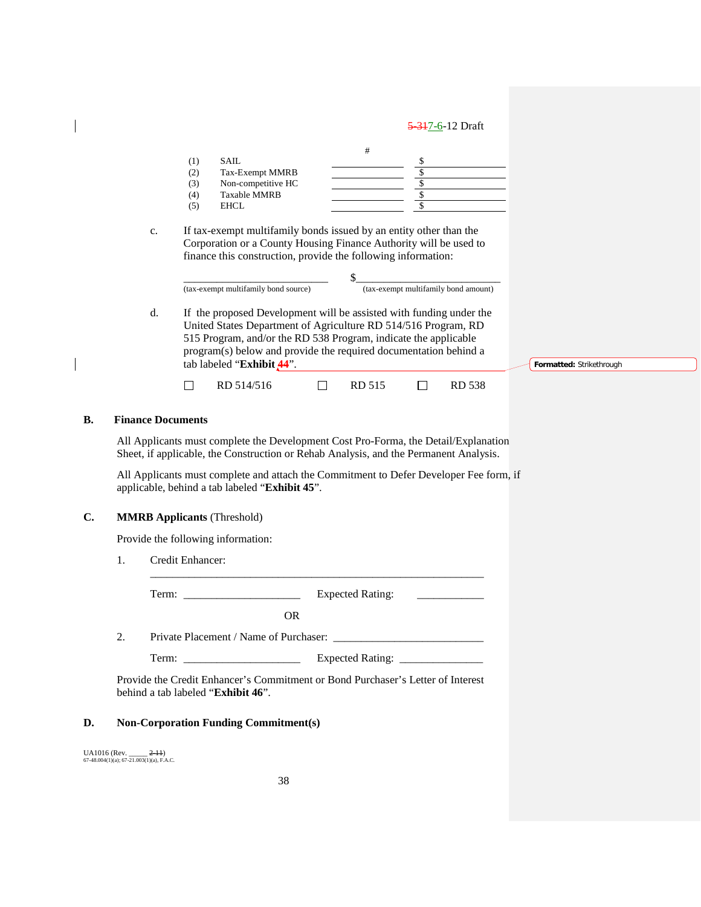|     | <b>SAIL</b>         |  |
|-----|---------------------|--|
| (2) | Tax-Exempt MMRB     |  |
| (3) | Non-competitive HC  |  |
| (4) | <b>Taxable MMRB</b> |  |
|     | <b>EHCL</b>         |  |

c. If tax-exempt multifamily bonds issued by an entity other than the Corporation or a County Housing Finance Authority will be used to finance this construction, provide the following information:

| (tax-exempt multifamily bond source) | (tax-exempt multifamily bond amount) |
|--------------------------------------|--------------------------------------|

d. If the proposed Development will be assisted with funding under the United States Department of Agriculture RD 514/516 Program, RD 515 Program, and/or the RD 538 Program, indicate the applicable program(s) below and provide the required documentation behind a tab labeled "**Exhibit 44**".

RD 514/516 □ RD 515 □ RD 538

**Formatted:** Strikethrough

| B. | <b>Finance Documents</b> |
|----|--------------------------|
|----|--------------------------|

All Applicants must complete the Development Cost Pro-Forma, the Detail/Explanation Sheet, if applicable, the Construction or Rehab Analysis, and the Permanent Analysis.

All Applicants must complete and attach the Commitment to Defer Developer Fee form, if applicable, behind a tab labeled "**Exhibit 45**".

\_\_\_\_\_\_\_\_\_\_\_\_\_\_\_\_\_\_\_\_\_\_\_\_\_\_\_\_\_\_\_\_\_\_\_\_\_\_\_\_\_\_\_\_\_\_\_\_\_\_\_\_\_\_\_\_\_\_\_\_

### **C. MMRB Applicants** (Threshold)

Provide the following information:

 $\Box$ 

1. Credit Enhancer:

Term: \_\_\_\_\_\_\_\_\_\_\_\_\_\_\_\_\_\_\_\_\_ Expected Rating: \_\_\_\_\_\_\_\_\_\_\_\_

OR

2. Private Placement / Name of Purchaser: \_\_\_\_\_\_\_\_\_\_\_\_\_\_\_\_\_\_\_\_\_\_\_\_\_\_\_

Term: \_\_\_\_\_\_\_\_\_\_\_\_\_\_\_\_\_\_\_\_\_ Expected Rating: \_\_\_\_\_\_\_\_\_\_\_\_\_\_\_

Provide the Credit Enhancer's Commitment or Bond Purchaser's Letter of Interest behind a tab labeled "**Exhibit 46**".

#### **D. Non-Corporation Funding Commitment(s)**